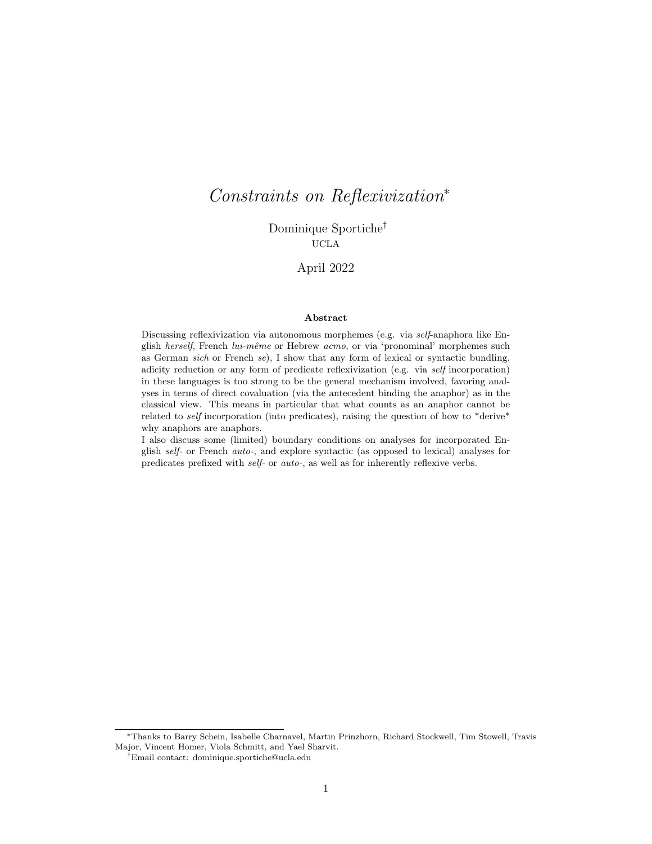# Constraints on Reflexivization<sup>∗</sup>

Dominique Sportiche† UCLA

# April 2022

#### Abstract

Discussing reflexivization via autonomous morphemes (e.g. via self-anaphora like English herself, French lui-même or Hebrew acmo, or via 'pronominal' morphemes such as German sich or French se), I show that any form of lexical or syntactic bundling, adicity reduction or any form of predicate reflexivization (e.g. via self incorporation) in these languages is too strong to be the general mechanism involved, favoring analyses in terms of direct covaluation (via the antecedent binding the anaphor) as in the classical view. This means in particular that what counts as an anaphor cannot be related to self incorporation (into predicates), raising the question of how to \*derive\* why anaphors are anaphors.

I also discuss some (limited) boundary conditions on analyses for incorporated English self- or French auto-, and explore syntactic (as opposed to lexical) analyses for predicates prefixed with self- or auto-, as well as for inherently reflexive verbs.

<sup>∗</sup>Thanks to Barry Schein, Isabelle Charnavel, Martin Prinzhorn, Richard Stockwell, Tim Stowell, Travis Major, Vincent Homer, Viola Schmitt, and Yael Sharvit.

<sup>†</sup>Email contact: dominique.sportiche@ucla.edu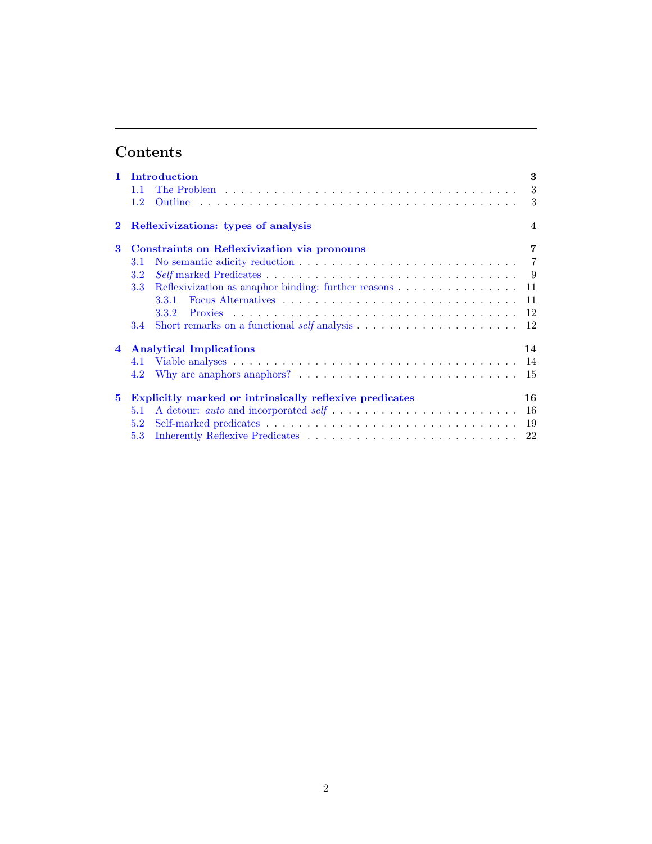# Contents

| 1.1                                                                           | The Problem $\ldots \ldots \ldots \ldots \ldots \ldots \ldots \ldots \ldots \ldots \ldots \ldots$ |  |     |  |  |  |  |
|-------------------------------------------------------------------------------|---------------------------------------------------------------------------------------------------|--|-----|--|--|--|--|
| $1.2^{\circ}$                                                                 |                                                                                                   |  |     |  |  |  |  |
| Reflexivizations: types of analysis<br>$\bf{2}$<br>$\boldsymbol{4}$           |                                                                                                   |  |     |  |  |  |  |
| 3                                                                             | <b>Constraints on Reflexivization via pronouns</b>                                                |  | 7   |  |  |  |  |
| 3.1                                                                           |                                                                                                   |  |     |  |  |  |  |
| $3.2\,$                                                                       |                                                                                                   |  |     |  |  |  |  |
| 3.3                                                                           | Reflexivization as an<br>aphor binding: further reasons $\ldots \ldots \ldots \ldots \ldots 11$   |  |     |  |  |  |  |
|                                                                               |                                                                                                   |  |     |  |  |  |  |
|                                                                               |                                                                                                   |  |     |  |  |  |  |
| 3.4                                                                           |                                                                                                   |  |     |  |  |  |  |
| <b>Analytical Implications</b><br>14<br>$\overline{4}$                        |                                                                                                   |  |     |  |  |  |  |
| 4.1                                                                           |                                                                                                   |  |     |  |  |  |  |
| 4.2                                                                           | Why are anaphors anaphors? $\dots \dots \dots \dots \dots \dots \dots \dots \dots \dots$          |  | -15 |  |  |  |  |
| Explicitly marked or intrinsically reflexive predicates<br>16<br>$\mathbf{5}$ |                                                                                                   |  |     |  |  |  |  |
| 5.1                                                                           |                                                                                                   |  | 16  |  |  |  |  |
| 5.2                                                                           |                                                                                                   |  |     |  |  |  |  |
| 5.3                                                                           |                                                                                                   |  |     |  |  |  |  |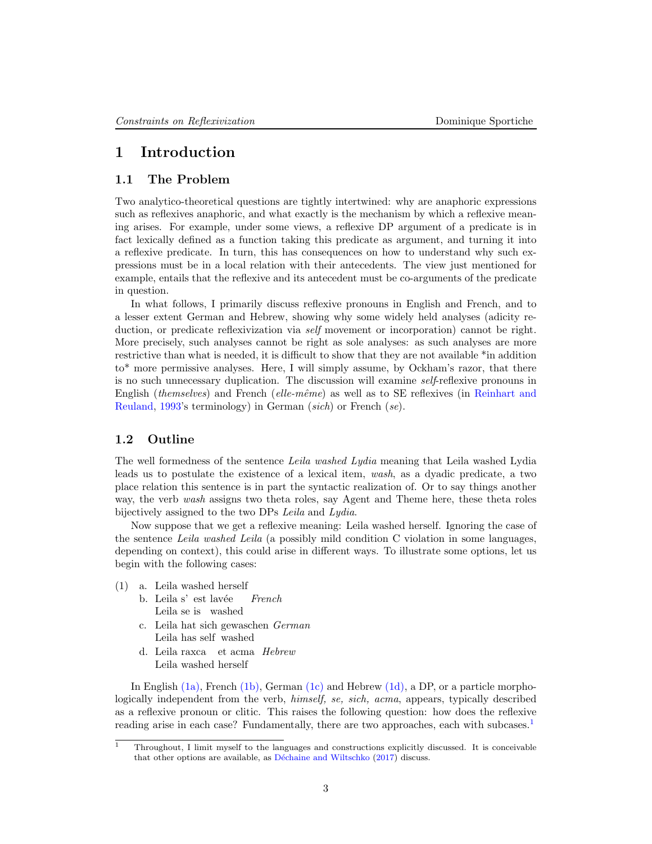# <span id="page-2-0"></span>1 Introduction

# <span id="page-2-1"></span>1.1 The Problem

Two analytico-theoretical questions are tightly intertwined: why are anaphoric expressions such as reflexives anaphoric, and what exactly is the mechanism by which a reflexive meaning arises. For example, under some views, a reflexive DP argument of a predicate is in fact lexically defined as a function taking this predicate as argument, and turning it into a reflexive predicate. In turn, this has consequences on how to understand why such expressions must be in a local relation with their antecedents. The view just mentioned for example, entails that the reflexive and its antecedent must be co-arguments of the predicate in question.

In what follows, I primarily discuss reflexive pronouns in English and French, and to a lesser extent German and Hebrew, showing why some widely held analyses (adicity reduction, or predicate reflexivization via *self* movement or incorporation) cannot be right. More precisely, such analyses cannot be right as sole analyses: as such analyses are more restrictive than what is needed, it is difficult to show that they are not available \*in addition to\* more permissive analyses. Here, I will simply assume, by Ockham's razor, that there is no such unnecessary duplication. The discussion will examine self-reflexive pronouns in English (*themselves*) and French (*elle-même*) as well as to SE reflexives (in [Reinhart and](#page-24-0) [Reuland,](#page-24-0) [1993'](#page-24-0)s terminology) in German (sich) or French (se).

# <span id="page-2-2"></span>1.2 Outline

The well formedness of the sentence Leila washed Lydia meaning that Leila washed Lydia leads us to postulate the existence of a lexical item, wash, as a dyadic predicate, a two place relation this sentence is in part the syntactic realization of. Or to say things another way, the verb wash assigns two theta roles, say Agent and Theme here, these theta roles bijectively assigned to the two DPs Leila and Lydia.

Now suppose that we get a reflexive meaning: Leila washed herself. Ignoring the case of the sentence Leila washed Leila (a possibly mild condition C violation in some languages, depending on context), this could arise in different ways. To illustrate some options, let us begin with the following cases:

- <span id="page-2-8"></span><span id="page-2-5"></span><span id="page-2-4"></span><span id="page-2-3"></span>(1) a. Leila washed herself
	- b. Leila s' est lavée Leila se is washed French
	- c. Leila hat sich gewaschen German Leila has self washed
	- d. Leila raxca et acma Hebrew Leila washed herself

<span id="page-2-6"></span>In English  $(1a)$ , French  $(1b)$ , German  $(1c)$  and Hebrew  $(1d)$ , a DP, or a particle morphologically independent from the verb, himself, se, sich, acma, appears, typically described as a reflexive pronoun or clitic. This raises the following question: how does the reflexive reading arise in each case? Fundamentally, there are two approaches, each with subcases.<sup>[1](#page-2-7)</sup>

<span id="page-2-7"></span><sup>&</sup>lt;sup>1</sup> Throughout, I limit myself to the languages and constructions explicitly discussed. It is conceivable that other options are available, as Déchaine and Wiltschko [\(2017\)](#page-23-0) discuss.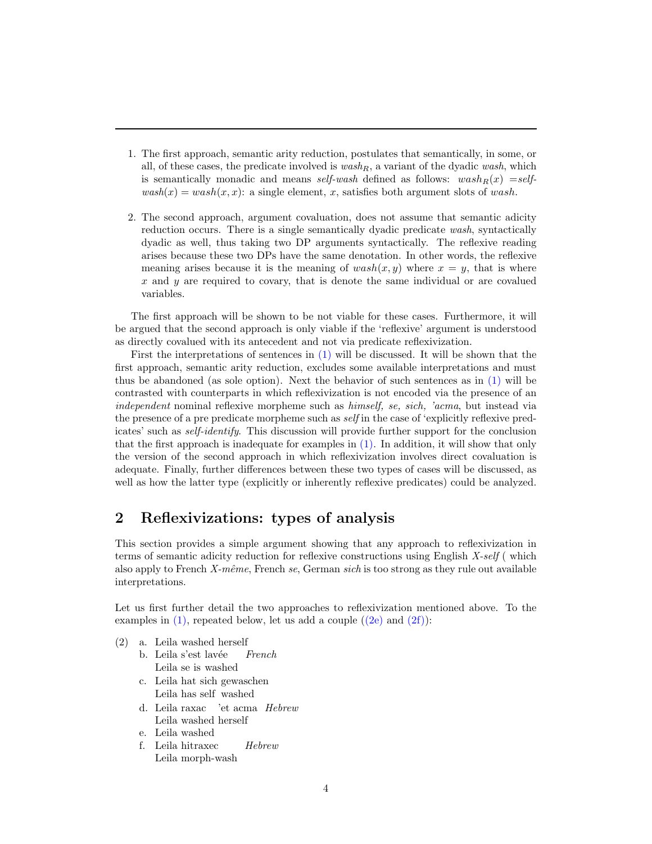- 1. The first approach, semantic arity reduction, postulates that semantically, in some, or all, of these cases, the predicate involved is  $wash<sub>R</sub>$ , a variant of the dyadic wash, which is semantically monadic and means self-wash defined as follows:  $wash<sub>R</sub>(x) = self$  $wash(x) = wash(x, x)$ : a single element, x, satisfies both argument slots of wash.
- 2. The second approach, argument covaluation, does not assume that semantic adicity reduction occurs. There is a single semantically dyadic predicate wash, syntactically dyadic as well, thus taking two DP arguments syntactically. The reflexive reading arises because these two DPs have the same denotation. In other words, the reflexive meaning arises because it is the meaning of  $wash(x, y)$  where  $x = y$ , that is where x and  $y$  are required to covary, that is denote the same individual or are covalued variables.

The first approach will be shown to be not viable for these cases. Furthermore, it will be argued that the second approach is only viable if the 'reflexive' argument is understood as directly covalued with its antecedent and not via predicate reflexivization.

First the interpretations of sentences in [\(1\)](#page-2-8) will be discussed. It will be shown that the first approach, semantic arity reduction, excludes some available interpretations and must thus be abandoned (as sole option). Next the behavior of such sentences as in [\(1\)](#page-2-8) will be contrasted with counterparts in which reflexivization is not encoded via the presence of an independent nominal reflexive morpheme such as himself, se, sich, 'acma, but instead via the presence of a pre predicate morpheme such as *self* in the case of 'explicitly reflexive predicates' such as self-identify. This discussion will provide further support for the conclusion that the first approach is inadequate for examples in [\(1\).](#page-2-8) In addition, it will show that only the version of the second approach in which reflexivization involves direct covaluation is adequate. Finally, further differences between these two types of cases will be discussed, as well as how the latter type (explicitly or inherently reflexive predicates) could be analyzed.

# <span id="page-3-0"></span>2 Reflexivizations: types of analysis

This section provides a simple argument showing that any approach to reflexivization in terms of semantic adicity reduction for reflexive constructions using English X-self (which also apply to French  $X$ -même, French se, German sich is too strong as they rule out available interpretations.

Let us first further detail the two approaches to reflexivization mentioned above. To the examples in  $(1)$ , repeated below, let us add a couple  $((2e)$  and  $(2f))$ :

- <span id="page-3-6"></span><span id="page-3-5"></span><span id="page-3-4"></span><span id="page-3-3"></span><span id="page-3-2"></span><span id="page-3-1"></span>(2) a. Leila washed herself
	- b. Leila s'est lavée Leila se is washed French
	- c. Leila hat sich gewaschen Leila has self washed
	- d. Leila raxac 'et acma Hebrew Leila washed herself
	- e. Leila washed
	- f. Leila hitraxec Leila morph-wash Hebrew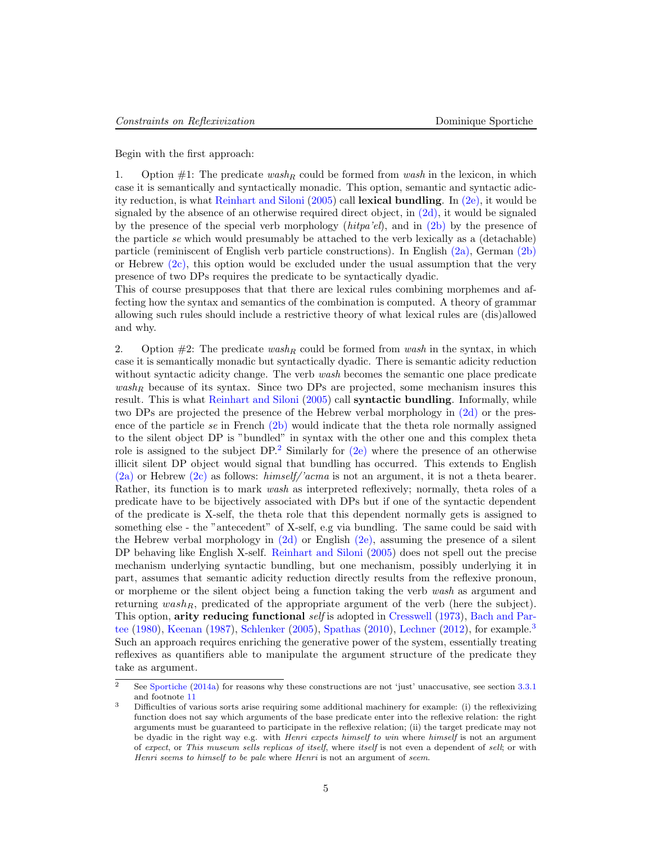Begin with the first approach:

1. Option  $\#1$ : The predicate wash<sub>R</sub> could be formed from wash in the lexicon, in which case it is semantically and syntactically monadic. This option, semantic and syntactic adicity reduction, is what [Reinhart and Siloni](#page-24-1) [\(2005\)](#page-24-1) call lexical bundling. In [\(2e\),](#page-3-1) it would be signaled by the absence of an otherwise required direct object, in  $(2d)$ , it would be signaled by the presence of the special verb morphology  $(hitpa'el)$ , and in  $(2b)$  by the presence of the particle se which would presumably be attached to the verb lexically as a (detachable) particle (reminiscent of English verb particle constructions). In English [\(2a\),](#page-3-5) German [\(2b\)](#page-3-4) or Hebrew  $(2c)$ , this option would be excluded under the usual assumption that the very presence of two DPs requires the predicate to be syntactically dyadic.

This of course presupposes that that there are lexical rules combining morphemes and affecting how the syntax and semantics of the combination is computed. A theory of grammar allowing such rules should include a restrictive theory of what lexical rules are (dis)allowed and why.

2. Option  $\#2$ : The predicate wash<sub>R</sub> could be formed from wash in the syntax, in which case it is semantically monadic but syntactically dyadic. There is semantic adicity reduction without syntactic adicity change. The verb wash becomes the semantic one place predicate  $wash<sub>R</sub>$  because of its syntax. Since two DPs are projected, some mechanism insures this result. This is what [Reinhart and Siloni](#page-24-1) [\(2005\)](#page-24-1) call syntactic bundling. Informally, while two DPs are projected the presence of the Hebrew verbal morphology in [\(2d\)](#page-3-3) or the presence of the particle se in French  $(2b)$  would indicate that the theta role normally assigned to the silent object DP is "bundled" in syntax with the other one and this complex theta role is assigned to the subject  $DP^2$  $DP^2$  Similarly for [\(2e\)](#page-3-1) where the presence of an otherwise illicit silent DP object would signal that bundling has occurred. This extends to English  $(2a)$  or Hebrew  $(2c)$  as follows: himself/'acma is not an argument, it is not a theta bearer. Rather, its function is to mark wash as interpreted reflexively; normally, theta roles of a predicate have to be bijectively associated with DPs but if one of the syntactic dependent of the predicate is X-self, the theta role that this dependent normally gets is assigned to something else - the "antecedent" of X-self, e.g via bundling. The same could be said with the Hebrew verbal morphology in  $(2d)$  or English  $(2e)$ , assuming the presence of a silent DP behaving like English X-self. [Reinhart and Siloni](#page-24-1) [\(2005\)](#page-24-1) does not spell out the precise mechanism underlying syntactic bundling, but one mechanism, possibly underlying it in part, assumes that semantic adicity reduction directly results from the reflexive pronoun, or morpheme or the silent object being a function taking the verb wash as argument and returning  $wash_R$ , predicated of the appropriate argument of the verb (here the subject). This option, arity reducing functional self is adopted in [Cresswell](#page-23-1) [\(1973\)](#page-23-1), [Bach and Par](#page-22-0)[tee](#page-22-0) [\(1980\)](#page-22-0), [Keenan](#page-24-2) [\(1987\)](#page-24-2), [Schlenker](#page-24-3) [\(2005\)](#page-24-3), [Spathas](#page-24-4) [\(2010\)](#page-24-4), [Lechner](#page-24-5) [\(2012\)](#page-24-5), for example.<sup>[3](#page-4-1)</sup> Such an approach requires enriching the generative power of the system, essentially treating reflexives as quantifiers able to manipulate the argument structure of the predicate they take as argument.

<span id="page-4-0"></span> $\overline{a}$  See [Sportiche](#page-25-0) [\(2014a\)](#page-25-0) for reasons why these constructions are not 'just' unaccusative, see section [3.3.1](#page-10-1) and footnote [11](#page-10-2)

<span id="page-4-1"></span><sup>3</sup> Difficulties of various sorts arise requiring some additional machinery for example: (i) the reflexivizing function does not say which arguments of the base predicate enter into the reflexive relation: the right arguments must be guaranteed to participate in the reflexive relation; (ii) the target predicate may not be dyadic in the right way e.g. with *Henri expects himself to win* where *himself* is not an argument of expect, or This museum sells replicas of itself, where itself is not even a dependent of sell; or with Henri seems to himself to be pale where Henri is not an argument of seem.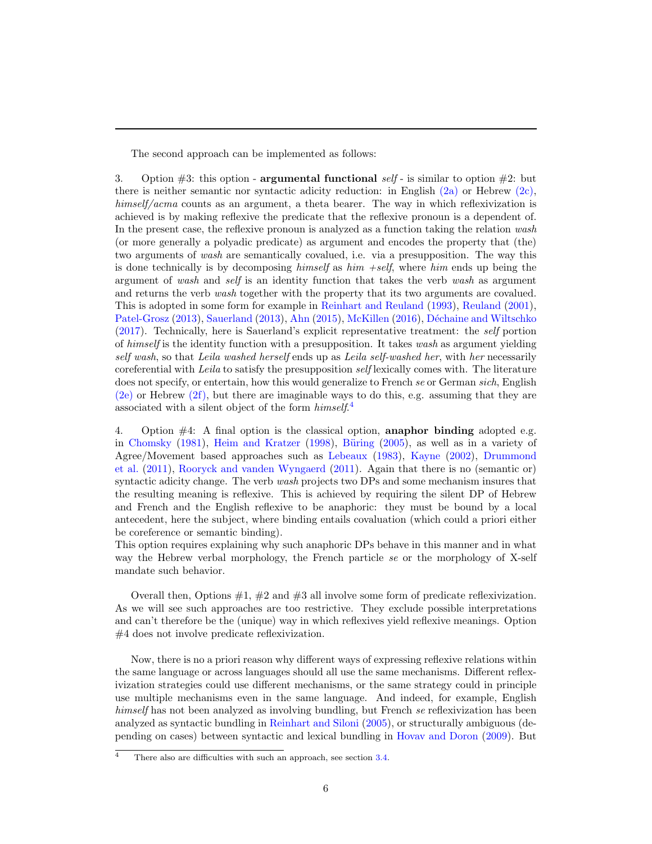The second approach can be implemented as follows:

3. Option  $\#3$ : this option - **argumental functional** self - is similar to option  $\#2$ : but there is neither semantic nor syntactic adicity reduction: in English  $(2a)$  or Hebrew  $(2c)$ , himself/acma counts as an argument, a theta bearer. The way in which reflexivization is achieved is by making reflexive the predicate that the reflexive pronoun is a dependent of. In the present case, the reflexive pronoun is analyzed as a function taking the relation wash (or more generally a polyadic predicate) as argument and encodes the property that (the) two arguments of wash are semantically covalued, i.e. via a presupposition. The way this is done technically is by decomposing himself as  $him + self$ , where him ends up being the argument of wash and self is an identity function that takes the verb wash as argument and returns the verb wash together with the property that its two arguments are covalued. This is adopted in some form for example in [Reinhart and Reuland](#page-24-0) [\(1993\)](#page-24-0), [Reuland](#page-24-6) [\(2001\)](#page-24-6), [Patel-Grosz](#page-24-7) [\(2013\)](#page-24-8), [Sauerland](#page-24-8) (2013), [Ahn](#page-22-1) [\(2015\)](#page-22-1), [McKillen](#page-24-9) [\(2016\)](#page-24-9), Déchaine and Wiltschko [\(2017\)](#page-23-0). Technically, here is Sauerland's explicit representative treatment: the self portion of himself is the identity function with a presupposition. It takes wash as argument yielding self wash, so that Leila washed herself ends up as Leila self-washed her, with her necessarily coreferential with Leila to satisfy the presupposition self lexically comes with. The literature does not specify, or entertain, how this would generalize to French se or German sich, English [\(2e\)](#page-3-1) or Hebrew [\(2f\),](#page-3-2) but there are imaginable ways to do this, e.g. assuming that they are associated with a silent object of the form  $himself.$ <sup>[4](#page-5-0)</sup>

4. Option #4: A final option is the classical option, anaphor binding adopted e.g. in [Chomsky](#page-23-2) [\(1981\)](#page-23-2), [Heim and Kratzer](#page-23-3) [\(1998\)](#page-23-3), Büring [\(2005\)](#page-22-2), as well as in a variety of Agree/Movement based approaches such as [Lebeaux](#page-24-10) [\(1983\)](#page-24-10), [Kayne](#page-24-11) [\(2002\)](#page-24-11), [Drummond](#page-23-4) [et al.](#page-23-4) [\(2011\)](#page-23-4), [Rooryck and vanden Wyngaerd](#page-24-12) [\(2011\)](#page-24-12). Again that there is no (semantic or) syntactic adicity change. The verb *wash* projects two DPs and some mechanism insures that the resulting meaning is reflexive. This is achieved by requiring the silent DP of Hebrew and French and the English reflexive to be anaphoric: they must be bound by a local antecedent, here the subject, where binding entails covaluation (which could a priori either be coreference or semantic binding).

This option requires explaining why such anaphoric DPs behave in this manner and in what way the Hebrew verbal morphology, the French particle se or the morphology of X-self mandate such behavior.

Overall then, Options  $\#1, \#2$  and  $\#3$  all involve some form of predicate reflexivization. As we will see such approaches are too restrictive. They exclude possible interpretations and can't therefore be the (unique) way in which reflexives yield reflexive meanings. Option #4 does not involve predicate reflexivization.

Now, there is no a priori reason why different ways of expressing reflexive relations within the same language or across languages should all use the same mechanisms. Different reflexivization strategies could use different mechanisms, or the same strategy could in principle use multiple mechanisms even in the same language. And indeed, for example, English himself has not been analyzed as involving bundling, but French se reflexivization has been analyzed as syntactic bundling in [Reinhart and Siloni](#page-24-1) [\(2005\)](#page-24-1), or structurally ambiguous (depending on cases) between syntactic and lexical bundling in [Hovav and Doron](#page-23-5) [\(2009\)](#page-23-5). But

<span id="page-5-0"></span> $\frac{4}{4}$  There also are difficulties with such an approach, see section [3.4.](#page-11-1)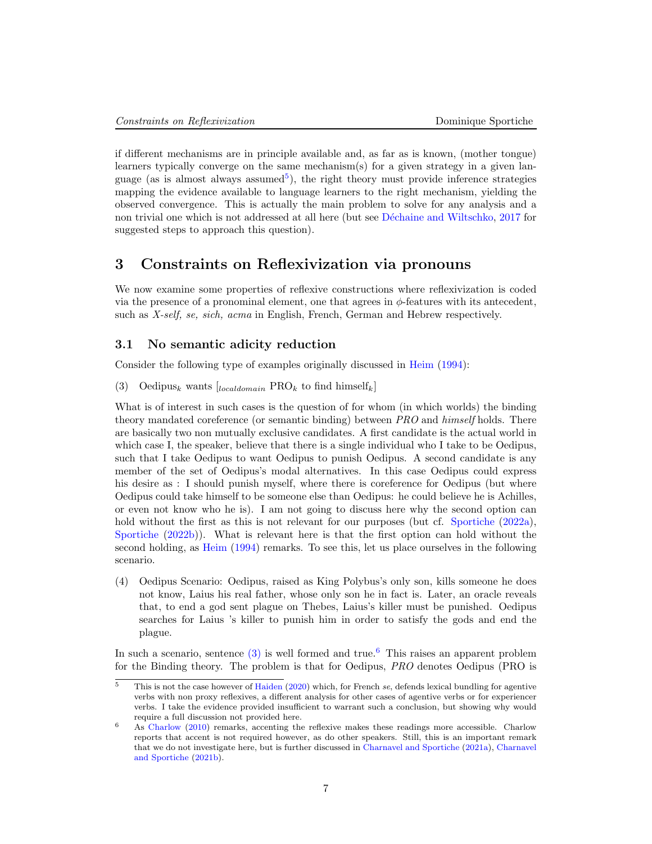if different mechanisms are in principle available and, as far as is known, (mother tongue) learners typically converge on the same mechanism(s) for a given strategy in a given lan-guage (as is almost always assumed<sup>[5](#page-6-2)</sup>), the right theory must provide inference strategies mapping the evidence available to language learners to the right mechanism, yielding the observed convergence. This is actually the main problem to solve for any analysis and a non trivial one which is not addressed at all here (but see Déchaine and Wiltschko, [2017](#page-23-0) for suggested steps to approach this question).

# <span id="page-6-0"></span>3 Constraints on Reflexivization via pronouns

We now examine some properties of reflexive constructions where reflexivization is coded via the presence of a pronominal element, one that agrees in  $\phi$ -features with its antecedent, such as X-self, se, sich, acma in English, French, German and Hebrew respectively.

### <span id="page-6-1"></span>3.1 No semantic adicity reduction

<span id="page-6-3"></span>Consider the following type of examples originally discussed in [Heim](#page-23-6) [\(1994\)](#page-23-6):

(3) Oedipus<sub>k</sub> wants  $\begin{bmatrix} \text{local} domain \text{ PRO}_k \text{ to find himself}_k \end{bmatrix}$ 

What is of interest in such cases is the question of for whom (in which worlds) the binding theory mandated coreference (or semantic binding) between PRO and himself holds. There are basically two non mutually exclusive candidates. A first candidate is the actual world in which case I, the speaker, believe that there is a single individual who I take to be Oedipus, such that I take Oedipus to want Oedipus to punish Oedipus. A second candidate is any member of the set of Oedipus's modal alternatives. In this case Oedipus could express his desire as : I should punish myself, where there is coreference for Oedipus (but where Oedipus could take himself to be someone else than Oedipus: he could believe he is Achilles, or even not know who he is). I am not going to discuss here why the second option can hold without the first as this is not relevant for our purposes (but cf. [Sportiche](#page-25-1) [\(2022a\)](#page-25-1), [Sportiche](#page-25-2) [\(2022b\)](#page-25-2)). What is relevant here is that the first option can hold without the second holding, as [Heim](#page-23-6) [\(1994\)](#page-23-6) remarks. To see this, let us place ourselves in the following scenario.

<span id="page-6-5"></span>(4) Oedipus Scenario: Oedipus, raised as King Polybus's only son, kills someone he does not know, Laius his real father, whose only son he in fact is. Later, an oracle reveals that, to end a god sent plague on Thebes, Laius's killer must be punished. Oedipus searches for Laius 's killer to punish him in order to satisfy the gods and end the plague.

In such a scenario, sentence  $(3)$  is well formed and true.<sup>[6](#page-6-4)</sup> This raises an apparent problem for the Binding theory. The problem is that for Oedipus, PRO denotes Oedipus (PRO is

<span id="page-6-2"></span> $\frac{5}{10}$  This is not the case however of [Haiden](#page-23-7) [\(2020\)](#page-23-7) which, for French se, defends lexical bundling for agentive verbs with non proxy reflexives, a different analysis for other cases of agentive verbs or for experiencer verbs. I take the evidence provided insufficient to warrant such a conclusion, but showing why would require a full discussion not provided here.

<span id="page-6-4"></span><sup>6</sup> As [Charlow](#page-23-8) [\(2010\)](#page-23-8) remarks, accenting the reflexive makes these readings more accessible. Charlow reports that accent is not required however, as do other speakers. Still, this is an important remark that we do not investigate here, but is further discussed in [Charnavel and Sportiche](#page-23-9) [\(2021a\)](#page-23-9), [Charnavel](#page-23-10) [and Sportiche](#page-23-10) [\(2021b\)](#page-23-10).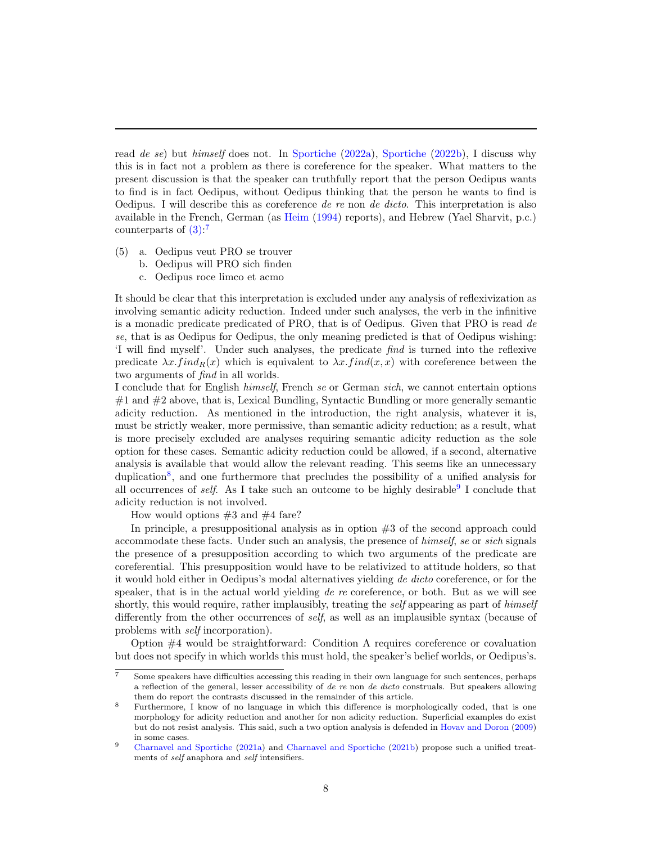read de se) but himself does not. In [Sportiche](#page-25-2) [\(2022a\)](#page-25-1), Sportiche [\(2022b\)](#page-25-2), I discuss why this is in fact not a problem as there is coreference for the speaker. What matters to the present discussion is that the speaker can truthfully report that the person Oedipus wants to find is in fact Oedipus, without Oedipus thinking that the person he wants to find is Oedipus. I will describe this as coreference de re non de dicto. This interpretation is also available in the French, German (as [Heim](#page-23-6) [\(1994\)](#page-23-6) reports), and Hebrew (Yael Sharvit, p.c.) counterparts of  $(3)$ :<sup>[7](#page-7-0)</sup>

- (5) a. Oedipus veut PRO se trouver
	- b. Oedipus will PRO sich finden
	- c. Oedipus roce limco et acmo

It should be clear that this interpretation is excluded under any analysis of reflexivization as involving semantic adicity reduction. Indeed under such analyses, the verb in the infinitive is a monadic predicate predicated of PRO, that is of Oedipus. Given that PRO is read de se, that is as Oedipus for Oedipus, the only meaning predicted is that of Oedipus wishing: 'I will find myself'. Under such analyses, the predicate find is turned into the reflexive predicate  $\lambda x. find_R(x)$  which is equivalent to  $\lambda x. find(x, x)$  with coreference between the two arguments of find in all worlds.

I conclude that for English himself, French se or German sich, we cannot entertain options  $#1$  and  $#2$  above, that is, Lexical Bundling, Syntactic Bundling or more generally semantic adicity reduction. As mentioned in the introduction, the right analysis, whatever it is, must be strictly weaker, more permissive, than semantic adicity reduction; as a result, what is more precisely excluded are analyses requiring semantic adicity reduction as the sole option for these cases. Semantic adicity reduction could be allowed, if a second, alternative analysis is available that would allow the relevant reading. This seems like an unnecessary duplication<sup>[8](#page-7-1)</sup>, and one furthermore that precludes the possibility of a unified analysis for all occurrences of *self.* As I take such an outcome to be highly desirable  $9$  I conclude that adicity reduction is not involved.

How would options  $#3$  and  $#4$  fare?

In principle, a presuppositional analysis as in option #3 of the second approach could accommodate these facts. Under such an analysis, the presence of himself, se or sich signals the presence of a presupposition according to which two arguments of the predicate are coreferential. This presupposition would have to be relativized to attitude holders, so that it would hold either in Oedipus's modal alternatives yielding de dicto coreference, or for the speaker, that is in the actual world yielding  $de$  re coreference, or both. But as we will see shortly, this would require, rather implausibly, treating the *self* appearing as part of himself differently from the other occurrences of self, as well as an implausible syntax (because of problems with self incorporation).

Option #4 would be straightforward: Condition A requires coreference or covaluation but does not specify in which worlds this must hold, the speaker's belief worlds, or Oedipus's.

<span id="page-7-0"></span><sup>7</sup> Some speakers have difficulties accessing this reading in their own language for such sentences, perhaps a reflection of the general, lesser accessibility of de re non de dicto construals. But speakers allowing them do report the contrasts discussed in the remainder of this article.

<span id="page-7-1"></span><sup>8</sup> Furthermore, I know of no language in which this difference is morphologically coded, that is one morphology for adicity reduction and another for non adicity reduction. Superficial examples do exist but do not resist analysis. This said, such a two option analysis is defended in [Hovav and Doron](#page-23-5) [\(2009\)](#page-23-5) in some cases.

<span id="page-7-2"></span><sup>9</sup> [Charnavel and Sportiche](#page-23-9) [\(2021a\)](#page-23-9) and [Charnavel and Sportiche](#page-23-10) [\(2021b\)](#page-23-10) propose such a unified treatments of self anaphora and self intensifiers.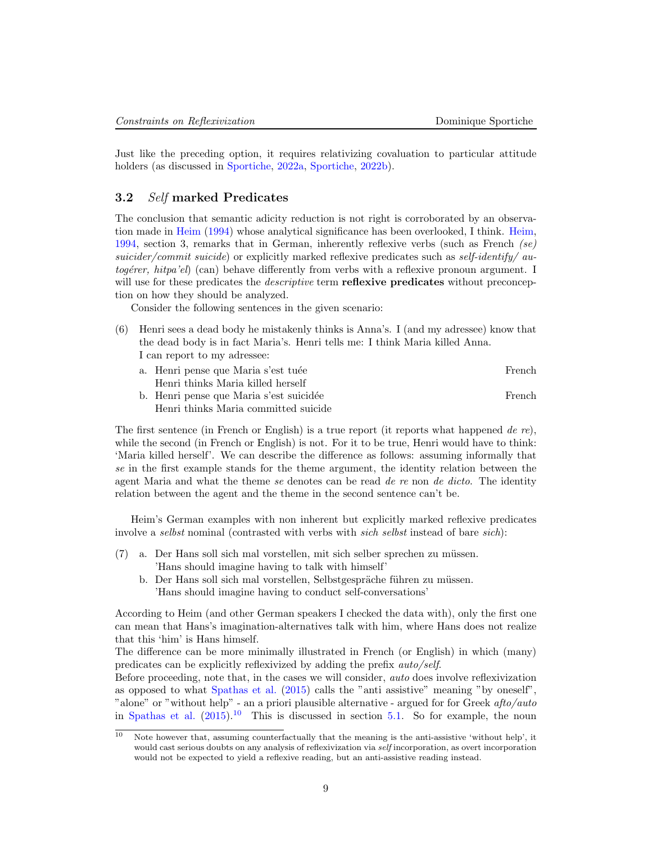Just like the preceding option, it requires relativizing covaluation to particular attitude holders (as discussed in [Sportiche,](#page-25-1) [2022a,](#page-25-1) [Sportiche,](#page-25-2) [2022b\)](#page-25-2).

## <span id="page-8-0"></span>3.2 Self marked Predicates

The conclusion that semantic adicity reduction is not right is corroborated by an observation made in [Heim](#page-23-6) [\(1994\)](#page-23-6) whose analytical significance has been overlooked, I think. [Heim,](#page-23-6) [1994,](#page-23-6) section 3, remarks that in German, inherently reflexive verbs (such as French  $(se)$ ) suicider/commit suicide) or explicitly marked reflexive predicates such as self-identify/ autogérer, hitpa'el) (can) behave differently from verbs with a reflexive pronoun argument. I will use for these predicates the *descriptive* term **reflexive predicates** without preconception on how they should be analyzed.

Consider the following sentences in the given scenario:

- (6) Henri sees a dead body he mistakenly thinks is Anna's. I (and my adressee) know that the dead body is in fact Maria's. Henri tells me: I think Maria killed Anna. I can report to my adressee:
	- a. Henri pense que Maria s'est tuée French Henri thinks Maria killed herself b. Henri pense que Maria s'est suicidée French Henri thinks Maria committed suicide

The first sentence (in French or English) is a true report (it reports what happened de re), while the second (in French or English) is not. For it to be true, Henri would have to think: 'Maria killed herself'. We can describe the difference as follows: assuming informally that se in the first example stands for the theme argument, the identity relation between the agent Maria and what the theme se denotes can be read de re non de dicto. The identity relation between the agent and the theme in the second sentence can't be.

Heim's German examples with non inherent but explicitly marked reflexive predicates involve a selbst nominal (contrasted with verbs with sich selbst instead of bare sich):

- $(7)$  a. Der Hans soll sich mal vorstellen, mit sich selber sprechen zu müssen. 'Hans should imagine having to talk with himself'
	- b. Der Hans soll sich mal vorstellen, Selbstgespräche führen zu müssen. 'Hans should imagine having to conduct self-conversations'

According to Heim (and other German speakers I checked the data with), only the first one can mean that Hans's imagination-alternatives talk with him, where Hans does not realize that this 'him' is Hans himself.

The difference can be more minimally illustrated in French (or English) in which (many) predicates can be explicitly reflexivized by adding the prefix auto/self.

Before proceeding, note that, in the cases we will consider, auto does involve reflexivization as opposed to what [Spathas et al.](#page-24-13) [\(2015\)](#page-24-13) calls the "anti assistive" meaning "by oneself", "alone" or "without help" - an a priori plausible alternative - argued for for Greek afto/auto in [Spathas et al.](#page-24-13)  $(2015)^{10}$  $(2015)^{10}$  $(2015)^{10}$  $(2015)^{10}$  This is discussed in section [5.1.](#page-15-1) So for example, the noun

<span id="page-8-1"></span> $\overline{10}$  Note however that, assuming counterfactually that the meaning is the anti-assistive 'without help', it would cast serious doubts on any analysis of reflexivization via self incorporation, as overt incorporation would not be expected to yield a reflexive reading, but an anti-assistive reading instead.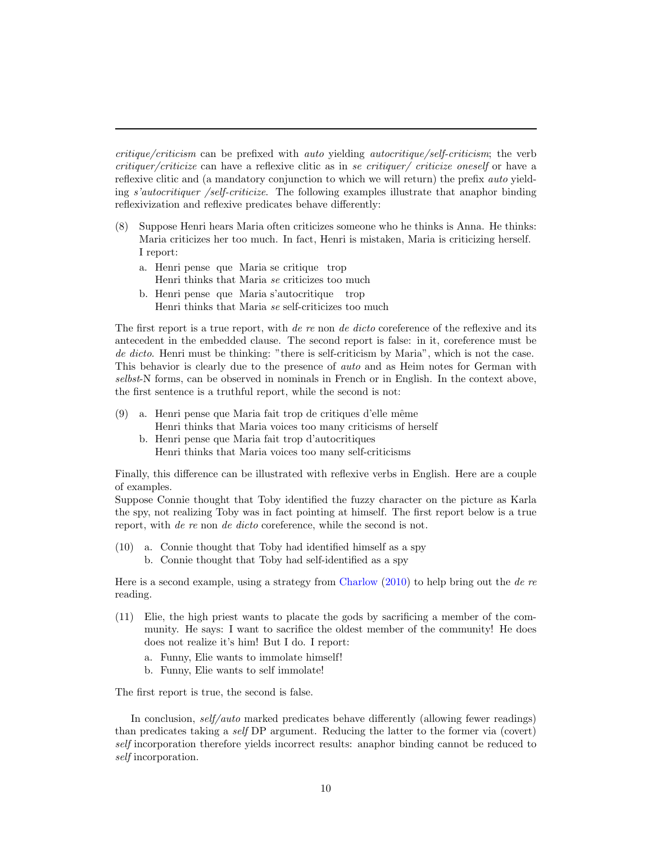critique/criticism can be prefixed with auto yielding autocritique/self-criticism; the verb critiquer/criticize can have a reflexive clitic as in se critiquer/ criticize oneself or have a reflexive clitic and (a mandatory conjunction to which we will return) the prefix *auto* yielding s'autocritiquer /self-criticize. The following examples illustrate that anaphor binding reflexivization and reflexive predicates behave differently:

- (8) Suppose Henri hears Maria often criticizes someone who he thinks is Anna. He thinks: Maria criticizes her too much. In fact, Henri is mistaken, Maria is criticizing herself. I report:
	- a. Henri pense que Maria se critique trop Henri thinks that Maria se criticizes too much
	- b. Henri pense que Maria s'autocritique trop Henri thinks that Maria se self-criticizes too much

The first report is a true report, with de re non de dicto coreference of the reflexive and its antecedent in the embedded clause. The second report is false: in it, coreference must be de dicto. Henri must be thinking: "there is self-criticism by Maria", which is not the case. This behavior is clearly due to the presence of *auto* and as Heim notes for German with selbst-N forms, can be observed in nominals in French or in English. In the context above, the first sentence is a truthful report, while the second is not:

- <span id="page-9-0"></span> $(9)$  a. Henri pense que Maria fait trop de critiques d'elle même Henri thinks that Maria voices too many criticisms of herself
	- b. Henri pense que Maria fait trop d'autocritiques Henri thinks that Maria voices too many self-criticisms

Finally, this difference can be illustrated with reflexive verbs in English. Here are a couple of examples.

Suppose Connie thought that Toby identified the fuzzy character on the picture as Karla the spy, not realizing Toby was in fact pointing at himself. The first report below is a true report, with *de re* non *de dicto* coreference, while the second is not.

<span id="page-9-1"></span>(10) a. Connie thought that Toby had identified himself as a spy b. Connie thought that Toby had self-identified as a spy

Here is a second example, using a strategy from [Charlow](#page-23-8)  $(2010)$  to help bring out the de re reading.

- (11) Elie, the high priest wants to placate the gods by sacrificing a member of the community. He says: I want to sacrifice the oldest member of the community! He does does not realize it's him! But I do. I report:
	- a. Funny, Elie wants to immolate himself!
	- b. Funny, Elie wants to self immolate!

The first report is true, the second is false.

In conclusion, self/auto marked predicates behave differently (allowing fewer readings) than predicates taking a self DP argument. Reducing the latter to the former via (covert) self incorporation therefore yields incorrect results: anaphor binding cannot be reduced to self incorporation.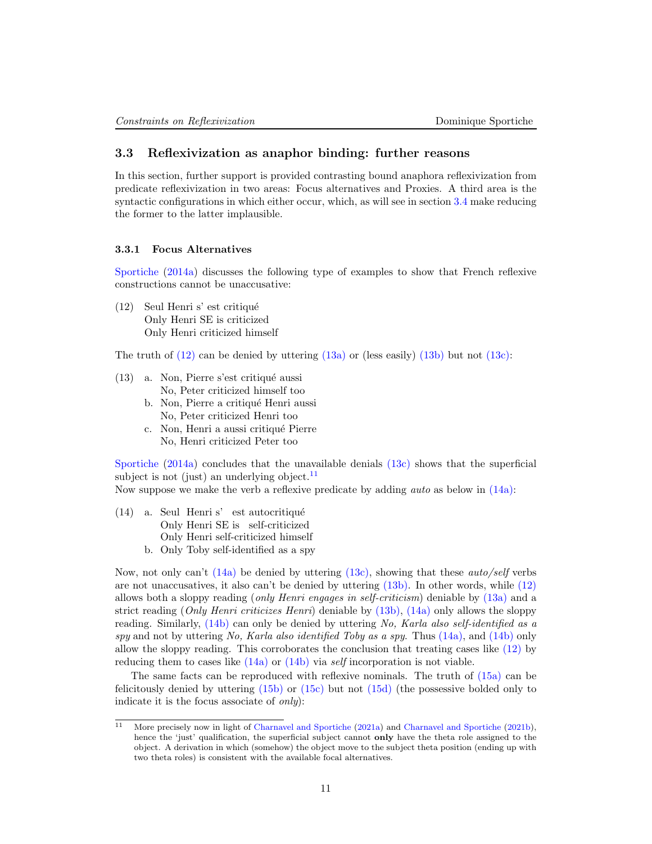# <span id="page-10-0"></span>3.3 Reflexivization as anaphor binding: further reasons

In this section, further support is provided contrasting bound anaphora reflexivization from predicate reflexivization in two areas: Focus alternatives and Proxies. A third area is the syntactic configurations in which either occur, which, as will see in section [3.4](#page-11-1) make reducing the former to the latter implausible.

#### <span id="page-10-1"></span>3.3.1 Focus Alternatives

[Sportiche](#page-25-0) [\(2014a\)](#page-25-0) discusses the following type of examples to show that French reflexive constructions cannot be unaccusative:

<span id="page-10-3"></span>(12) Seul Henri s' est critiqu´e Only Henri SE is criticized Only Henri criticized himself

The truth of  $(12)$  can be denied by uttering  $(13a)$  or (less easily)  $(13b)$  but not  $(13c)$ :

- <span id="page-10-5"></span><span id="page-10-4"></span> $(13)$  a. Non, Pierre s'est critiqué aussi No, Peter criticized himself too
	- b. Non, Pierre a critiqué Henri aussi No, Peter criticized Henri too
	- c. Non, Henri a aussi critiqué Pierre No, Henri criticized Peter too

<span id="page-10-6"></span>[Sportiche](#page-25-0)  $(2014a)$  concludes that the unavailable denials  $(13c)$  shows that the superficial subject is not (just) an underlying object. $11$ 

Now suppose we make the verb a reflexive predicate by adding *auto* as below in  $(14a)$ :

- <span id="page-10-7"></span>(14) a. Seul Henri s' est autocritiqué Only Henri SE is self-criticized Only Henri self-criticized himself
	- b. Only Toby self-identified as a spy

<span id="page-10-8"></span>Now, not only can't  $(14a)$  be denied by uttering  $(13c)$ , showing that these *auto/self* verbs are not unaccusatives, it also can't be denied by uttering [\(13b\).](#page-10-5) In other words, while [\(12\)](#page-10-3) allows both a sloppy reading (only Henri engages in self-criticism) deniable by [\(13a\)](#page-10-4) and a strict reading (*Only Henri criticizes Henri*) deniable by  $(13b)$ ,  $(14a)$  only allows the sloppy reading. Similarly, [\(14b\)](#page-10-8) can only be denied by uttering No, Karla also self-identified as a spy and not by uttering No, Karla also identified Toby as a spy. Thus  $(14a)$ , and  $(14b)$  only allow the sloppy reading. This corroborates the conclusion that treating cases like [\(12\)](#page-10-3) by reducing them to cases like  $(14a)$  or  $(14b)$  via self incorporation is not viable.

The same facts can be reproduced with reflexive nominals. The truth of [\(15a\)](#page-11-2) can be felicitously denied by uttering [\(15b\)](#page-11-3) or [\(15c\)](#page-11-4) but not [\(15d\)](#page-11-5) (the possessive bolded only to indicate it is the focus associate of only):

<span id="page-10-2"></span><sup>11</sup> More precisely now in light of [Charnavel and Sportiche](#page-23-9) [\(2021a\)](#page-23-9) and [Charnavel and Sportiche](#page-23-10) [\(2021b\)](#page-23-10), hence the 'just' qualification, the superficial subject cannot **only** have the theta role assigned to the object. A derivation in which (somehow) the object move to the subject theta position (ending up with two theta roles) is consistent with the available focal alternatives.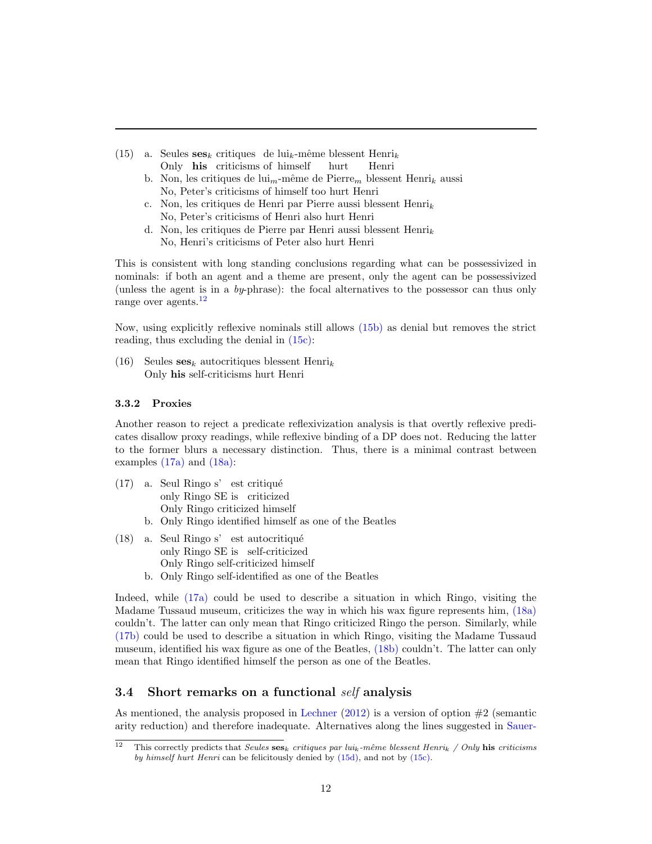- <span id="page-11-4"></span><span id="page-11-3"></span><span id="page-11-2"></span>(15) a. Seules  $\mathbf{ses}_k$  critiques de lui<sub>k</sub>-même blessent Henri<sub>k</sub> Only his criticisms of himself hurt Henri
	- b. Non, les critiques de lui<sub>m</sub>-même de Pierre<sub>m</sub> blessent Henri<sub>k</sub> aussi No, Peter's criticisms of himself too hurt Henri
	- c. Non, les critiques de Henri par Pierre aussi blessent Henri $_k$ No, Peter's criticisms of Henri also hurt Henri
	- d. Non, les critiques de Pierre par Henri aussi blessent Henri<sub>k</sub> No, Henri's criticisms of Peter also hurt Henri

<span id="page-11-5"></span>This is consistent with long standing conclusions regarding what can be possessivized in nominals: if both an agent and a theme are present, only the agent can be possessivized (unless the agent is in a  $by$ -phrase): the focal alternatives to the possessor can thus only range over agents.<sup>[12](#page-11-6)</sup>

Now, using explicitly reflexive nominals still allows [\(15b\)](#page-11-3) as denial but removes the strict reading, thus excluding the denial in [\(15c\):](#page-11-4)

(16) Seules  $\textbf{ses}_k$  autocritiques blessent Henri<sub>k</sub> Only his self-criticisms hurt Henri

### <span id="page-11-0"></span>3.3.2 Proxies

Another reason to reject a predicate reflexivization analysis is that overtly reflexive predicates disallow proxy readings, while reflexive binding of a DP does not. Reducing the latter to the former blurs a necessary distinction. Thus, there is a minimal contrast between examples [\(17a\)](#page-11-7) and [\(18a\):](#page-11-8)

- <span id="page-11-7"></span>(17) a. Seul Ringo s' est critiqué only Ringo SE is criticized Only Ringo criticized himself
	- b. Only Ringo identified himself as one of the Beatles
- <span id="page-11-9"></span><span id="page-11-8"></span>(18) a. Seul Ringo s' est autocritiqué only Ringo SE is self-criticized Only Ringo self-criticized himself
	- b. Only Ringo self-identified as one of the Beatles

<span id="page-11-10"></span>Indeed, while [\(17a\)](#page-11-7) could be used to describe a situation in which Ringo, visiting the Madame Tussaud museum, criticizes the way in which his wax figure represents him, [\(18a\)](#page-11-8) couldn't. The latter can only mean that Ringo criticized Ringo the person. Similarly, while [\(17b\)](#page-11-9) could be used to describe a situation in which Ringo, visiting the Madame Tussaud museum, identified his wax figure as one of the Beatles, [\(18b\)](#page-11-10) couldn't. The latter can only mean that Ringo identified himself the person as one of the Beatles.

# <span id="page-11-1"></span>3.4 Short remarks on a functional self analysis

As mentioned, the analysis proposed in [Lechner](#page-24-5)  $(2012)$  is a version of option  $#2$  (semantic arity reduction) and therefore inadequate. Alternatives along the lines suggested in [Sauer-](#page-24-8)

<span id="page-11-6"></span><sup>&</sup>lt;sup>12</sup> [This correctly predicts that](#page-24-8) Seules ses<sub>k</sub> critiques par lui<sub>k</sub>-même blessent Henri<sub>k</sub> / Only his criticisms by himself hurt Henri [can be felicitously denied by](#page-24-8) [\(15d\),](#page-11-5) and not by [\(15c\).](#page-11-4)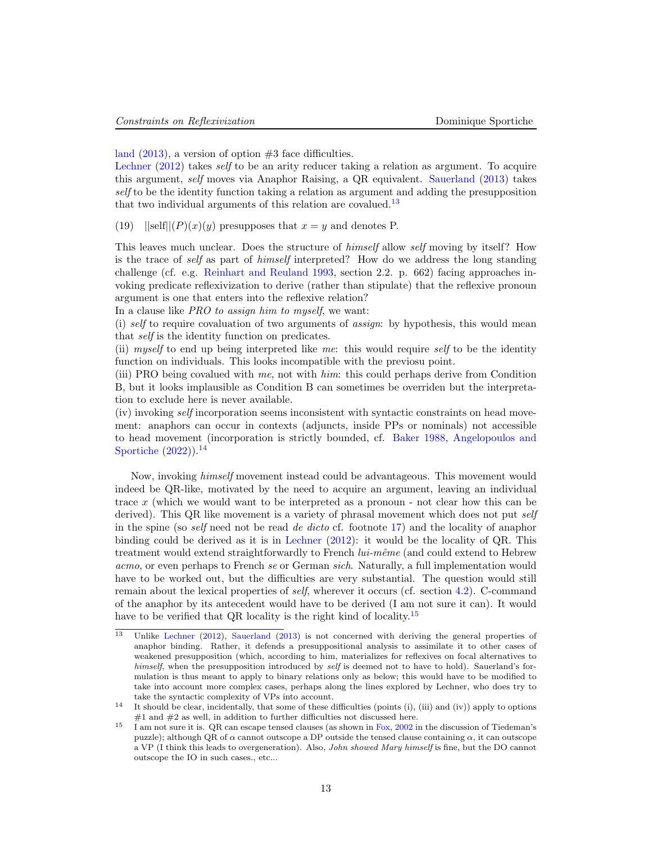[land](#page-24-8)  $(2013)$ , a version of option  $#3$  face difficulties.

[Lechner](#page-24-5) [\(2012\)](#page-24-5) takes *self* to be an arity reducer taking a relation as argument. To acquire this argument, self moves via Anaphor Raising, a QR equivalent. [Sauerland](#page-24-8) [\(2013\)](#page-24-8) takes self to be the identity function taking a relation as argument and adding the presupposition that two individual arguments of this relation are covalued.<sup>[13](#page-12-0)</sup>

(19)  $||\text{self}||(P)(x)(y)$  presupposes that  $x = y$  and denotes P.

This leaves much unclear. Does the structure of himself allow self moving by itself? How is the trace of self as part of himself interpreted? How do we address the long standing challenge (cf. e.g. [Reinhart and Reuland](#page-24-0) [1993,](#page-24-0) section 2.2. p. 662) facing approaches invoking predicate reflexivization to derive (rather than stipulate) that the reflexive pronoun argument is one that enters into the reflexive relation?

In a clause like PRO to assign him to myself, we want:

(i) self to require covaluation of two arguments of *assign*: by hypothesis, this would mean that self is the identity function on predicates.

(ii) myself to end up being interpreted like me: this would require self to be the identity function on individuals. This looks incompatible with the previosu point.

(iii) PRO being covalued with me, not with him: this could perhaps derive from Condition B, but it looks implausible as Condition B can sometimes be overriden but the interpretation to exclude here is never available.

(iv) invoking self incorporation seems inconsistent with syntactic constraints on head movement: anaphors can occur in contexts (adjuncts, inside PPs or nominals) not accessible to head movement (incorporation is strictly bounded, cf. [Baker](#page-22-3) [1988,](#page-22-3) [Angelopoulos and](#page-22-4) [Sportiche](#page-22-4)  $(2022)$ ).<sup>[14](#page-12-1)</sup>

Now, invoking himself movement instead could be advantageous. This movement would indeed be QR-like, motivated by the need to acquire an argument, leaving an individual trace x (which we would want to be interpreted as a pronoun - not clear how this can be derived). This QR like movement is a variety of phrasal movement which does not put self in the spine (so self need not be read de dicto cf. footnote [17\)](#page-13-2) and the locality of anaphor binding could be derived as it is in [Lechner](#page-24-5) [\(2012\)](#page-24-5): it would be the locality of QR. This treatment would extend straightforwardly to French  $lui\text{-}m\hat{e}me$  (and could extend to Hebrew acmo, or even perhaps to French se or German sich. Naturally, a full implementation would have to be worked out, but the difficulties are very substantial. The question would still remain about the lexical properties of *self*, wherever it occurs (cf. section [4.2\)](#page-14-0). C-command of the anaphor by its antecedent would have to be derived (I am not sure it can). It would have to be verified that QR locality is the right kind of locality.<sup>[15](#page-12-2)</sup>

<span id="page-12-0"></span> $\frac{13}{13}$  Unlike [Lechner](#page-24-5) [\(2012\)](#page-24-5), [Sauerland](#page-24-8) [\(2013\)](#page-24-8) is not concerned with deriving the general properties of anaphor binding. Rather, it defends a presuppositional analysis to assimilate it to other cases of weakened presupposition (which, according to him, materializes for reflexives on focal alternatives to himself, when the presupposition introduced by self is deemed not to have to hold). Sauerland's formulation is thus meant to apply to binary relations only as below; this would have to be modified to take into account more complex cases, perhaps along the lines explored by Lechner, who does try to take the syntactic complexity of VPs into account.

<span id="page-12-1"></span><sup>&</sup>lt;sup>14</sup> It should be clear, incidentally, that some of these difficulties (points (i), (iii) and (iv)) apply to options  $#1$  and  $#2$  as well, in addition to further difficulties not discussed here.

<span id="page-12-2"></span><sup>15</sup> I am not sure it is. QR can escape tensed clauses (as shown in [Fox,](#page-23-11) [2002](#page-23-11) in the discussion of Tiedeman's puzzle); although QR of  $\alpha$  cannot outscope a DP outside the tensed clause containing  $\alpha$ , it can outscope a VP (I think this leads to overgeneration). Also, John showed Mary himself is fine, but the DO cannot outscope the IO in such cases., etc...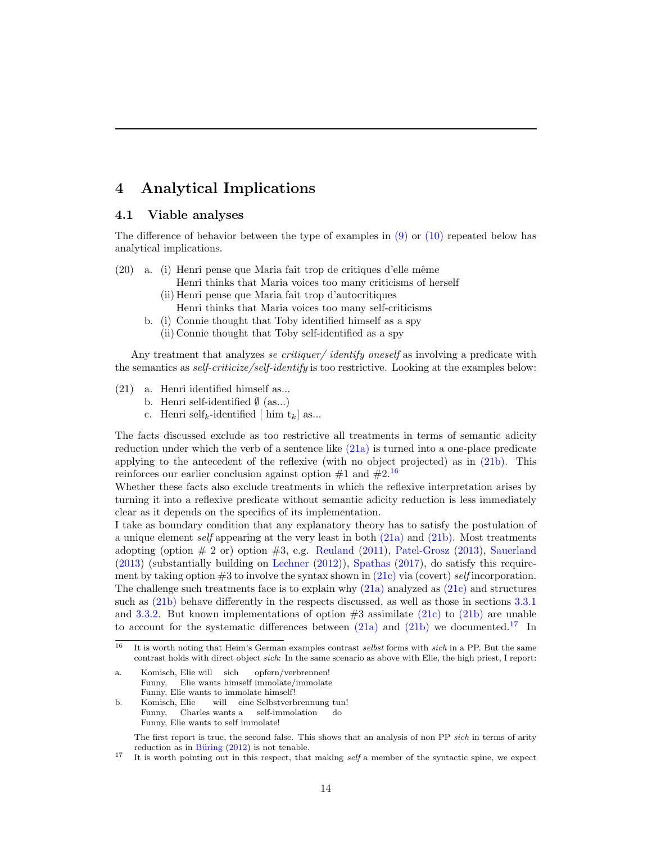# <span id="page-13-0"></span>4 Analytical Implications

## <span id="page-13-1"></span>4.1 Viable analyses

The difference of behavior between the type of examples in  $(9)$  or  $(10)$  repeated below has analytical implications.

- $(20)$  a. (i) Henri pense que Maria fait trop de critiques d'elle même
	- Henri thinks that Maria voices too many criticisms of herself (ii) Henri pense que Maria fait trop d'autocritiques
	- Henri thinks that Maria voices too many self-criticisms
	- b. (i) Connie thought that Toby identified himself as a spy (ii) Connie thought that Toby self-identified as a spy

Any treatment that analyzes se critiquer/ identify oneself as involving a predicate with the semantics as *self-criticize/self-identify* is too restrictive. Looking at the examples below:

- <span id="page-13-6"></span><span id="page-13-4"></span><span id="page-13-3"></span>(21) a. Henri identified himself as...
	- b. Henri self-identified  $\emptyset$  (as...)
	- c. Henri self<sub>k</sub>-identified  $\lceil \text{him } t_k \rceil$  as...

The facts discussed exclude as too restrictive all treatments in terms of semantic adicity reduction under which the verb of a sentence like  $(21a)$  is turned into a one-place predicate applying to the antecedent of the reflexive (with no object projected) as in [\(21b\).](#page-13-4) This reinforces our earlier conclusion against option  $\#1$  and  $\#2$ .<sup>[16](#page-13-5)</sup>

Whether these facts also exclude treatments in which the reflexive interpretation arises by turning it into a reflexive predicate without semantic adicity reduction is less immediately clear as it depends on the specifics of its implementation.

I take as boundary condition that any explanatory theory has to satisfy the postulation of a unique element self appearing at the very least in both [\(21a\)](#page-13-3) and [\(21b\).](#page-13-4) Most treatments adopting (option  $\#$  2 or) option  $\#3$ , e.g. [Reuland](#page-24-14) [\(2011\)](#page-24-14), [Patel-Grosz](#page-24-7) [\(2013\)](#page-24-7), [Sauerland](#page-24-8)  $(2013)$  (substantially building on [Lechner](#page-24-5)  $(2012)$ ), [Spathas](#page-24-15)  $(2017)$ , do satisfy this requirement by taking option  $#3$  to involve the syntax shown in  $(21c)$  via (covert) self incorporation. The challenge such treatments face is to explain why  $(21a)$  analyzed as  $(21c)$  and structures such as [\(21b\)](#page-13-4) behave differently in the respects discussed, as well as those in sections [3.3.1](#page-10-1) and [3.3.2.](#page-11-0) But known implementations of option  $#3$  assimilate [\(21c\)](#page-13-6) to [\(21b\)](#page-13-4) are unable to account for the systematic differences between  $(21a)$  and  $(21b)$  we documented.<sup>[17](#page-13-2)</sup> In

<span id="page-13-2"></span>The first report is true, the second false. This shows that an analysis of non PP sich in terms of arity reduction as in  $B\ddot{u}$ ring [\(2012\)](#page-23-12) is not tenable.

<sup>17</sup> It is worth pointing out in this respect, that making *self* a member of the syntactic spine, we expect

<span id="page-13-5"></span> $16$  It is worth noting that Heim's German examples contrast selbst forms with sich in a PP. But the same contrast holds with direct object sich: In the same scenario as above with Elie, the high priest, I report:

a. Komisch, Elie will sich Funny, Elie wants himself immolate/immolate opfern/verbrennen! Funny, Elie wants to immolate himself!

b. Komisch, Elie Funny, Charles wants a self-immolation will eine Selbstverbrennung tun! do Funny, Elie wants to self immolate!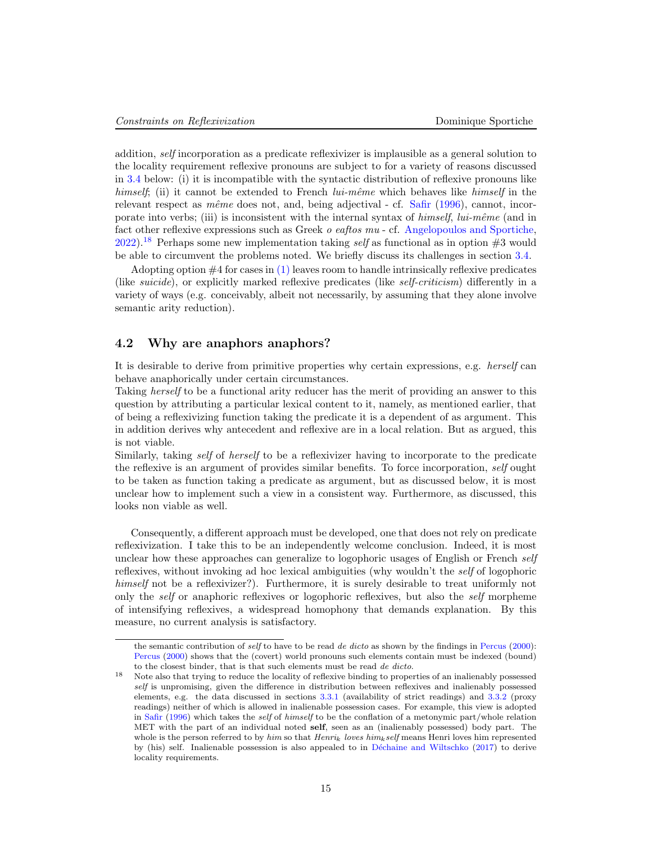addition, self incorporation as a predicate reflexivizer is implausible as a general solution to the locality requirement reflexive pronouns are subject to for a variety of reasons discussed in [3.4](#page-11-1) below: (i) it is incompatible with the syntactic distribution of reflexive pronouns like himself; (ii) it cannot be extended to French  $lui\text{-}m\hat{e}me$  which behaves like himself in the relevant respect as  $m\hat{e}me$  does not, and, being adjectival - cf. [Safir](#page-24-16) [\(1996\)](#page-24-16), cannot, incorporate into verbs; (iii) is inconsistent with the internal syntax of  $himself$ ,  $lui-même$  (and in fact other reflexive expressions such as Greek o eaftos mu - cf. [Angelopoulos and Sportiche,](#page-22-4) [2022\)](#page-22-4).<sup>[18](#page-14-1)</sup> Perhaps some new implementation taking *self* as functional as in option  $#3$  would be able to circumvent the problems noted. We briefly discuss its challenges in section [3.4.](#page-11-1)

Adopting option  $#4$  for cases in  $(1)$  leaves room to handle intrinsically reflexive predicates (like *suicide*), or explicitly marked reflexive predicates (like *self-criticism*) differently in a variety of ways (e.g. conceivably, albeit not necessarily, by assuming that they alone involve semantic arity reduction).

### <span id="page-14-0"></span>4.2 Why are anaphors anaphors?

It is desirable to derive from primitive properties why certain expressions, e.g. herself can behave anaphorically under certain circumstances.

Taking herself to be a functional arity reducer has the merit of providing an answer to this question by attributing a particular lexical content to it, namely, as mentioned earlier, that of being a reflexivizing function taking the predicate it is a dependent of as argument. This in addition derives why antecedent and reflexive are in a local relation. But as argued, this is not viable.

Similarly, taking self of herself to be a reflexivizer having to incorporate to the predicate the reflexive is an argument of provides similar benefits. To force incorporation, self ought to be taken as function taking a predicate as argument, but as discussed below, it is most unclear how to implement such a view in a consistent way. Furthermore, as discussed, this looks non viable as well.

Consequently, a different approach must be developed, one that does not rely on predicate reflexivization. I take this to be an independently welcome conclusion. Indeed, it is most unclear how these approaches can generalize to logophoric usages of English or French self reflexives, without invoking ad hoc lexical ambiguities (why wouldn't the self of logophoric himself not be a reflexivizer?). Furthermore, it is surely desirable to treat uniformly not only the self or anaphoric reflexives or logophoric reflexives, but also the self morpheme of intensifying reflexives, a widespread homophony that demands explanation. By this measure, no current analysis is satisfactory.

the semantic contribution of self to have to be read de dicto as shown by the findings in [Percus](#page-24-17) [\(2000\)](#page-24-17): [Percus](#page-24-17) [\(2000\)](#page-24-17) shows that the (covert) world pronouns such elements contain must be indexed (bound) to the closest binder, that is that such elements must be read de dicto.

<span id="page-14-1"></span><sup>&</sup>lt;sup>18</sup> Note also that trying to reduce the locality of reflexive binding to properties of an inalienably possessed self is unpromising, given the difference in distribution between reflexives and inalienably possessed elements, e.g. the data discussed in sections [3.3.1](#page-10-1) (availability of strict readings) and [3.3.2](#page-11-0) (proxy readings) neither of which is allowed in inalienable possession cases. For example, this view is adopted in [Safir](#page-24-16) [\(1996\)](#page-24-16) which takes the self of himself to be the conflation of a metonymic part/whole relation MET with the part of an individual noted self, seen as an (inalienably possessed) body part. The whole is the person referred to by him so that  $Henri_k$  loves him<sub>k</sub> self means Henri loves him represented by (his) self. Inalienable possession is also appealed to in Déchaine and Wiltschko [\(2017\)](#page-23-0) to derive locality requirements.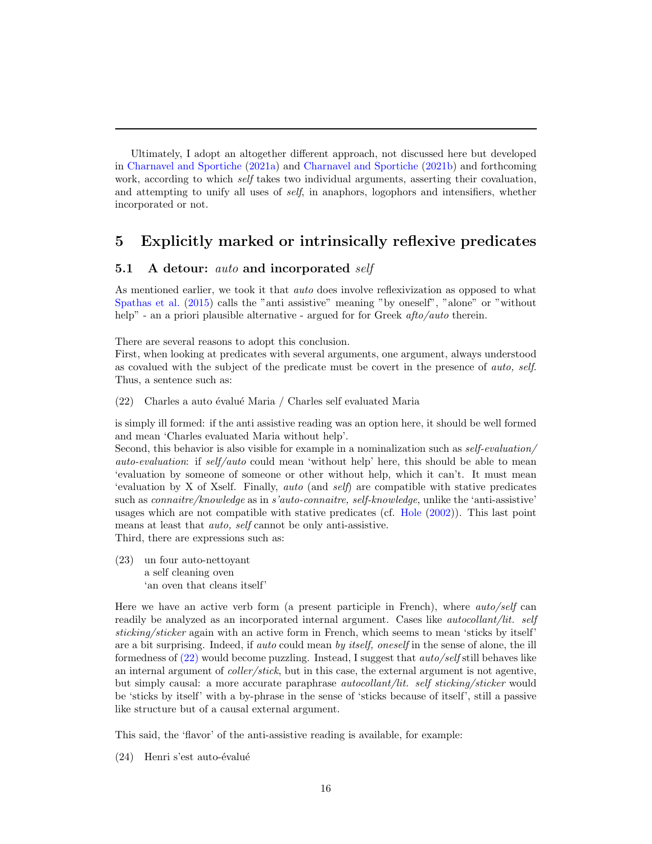Ultimately, I adopt an altogether different approach, not discussed here but developed in [Charnavel and Sportiche](#page-23-9) [\(2021a\)](#page-23-9) and [Charnavel and Sportiche](#page-23-10) [\(2021b\)](#page-23-10) and forthcoming work, according to which *self* takes two individual arguments, asserting their covaluation, and attempting to unify all uses of self, in anaphors, logophors and intensifiers, whether incorporated or not.

# <span id="page-15-0"></span>5 Explicitly marked or intrinsically reflexive predicates

# <span id="page-15-1"></span>5.1 A detour: auto and incorporated self

As mentioned earlier, we took it that *auto* does involve reflexivization as opposed to what [Spathas et al.](#page-24-13) [\(2015\)](#page-24-13) calls the "anti assistive" meaning "by oneself", "alone" or "without help" - an a priori plausible alternative - argued for for Greek *afto/auto* therein.

There are several reasons to adopt this conclusion.

<span id="page-15-2"></span>First, when looking at predicates with several arguments, one argument, always understood as covalued with the subject of the predicate must be covert in the presence of auto, self. Thus, a sentence such as:

 $(22)$  Charles a auto évalué Maria / Charles self evaluated Maria

is simply ill formed: if the anti assistive reading was an option here, it should be well formed and mean 'Charles evaluated Maria without help'.

Second, this behavior is also visible for example in a nominalization such as self-evaluation/ auto-evaluation: if self/auto could mean 'without help' here, this should be able to mean 'evaluation by someone of someone or other without help, which it can't. It must mean 'evaluation by X of Xself. Finally, auto (and self) are compatible with stative predicates such as connaitre/knowledge as in s'auto-connaitre, self-knowledge, unlike the 'anti-assistive' usages which are not compatible with stative predicates (cf. [Hole](#page-23-13) [\(2002\)](#page-23-13)). This last point means at least that *auto*, *self* cannot be only anti-assistive.

<span id="page-15-3"></span>Third, there are expressions such as:

(23) un four auto-nettoyant a self cleaning oven 'an oven that cleans itself'

Here we have an active verb form (a present participle in French), where auto/self can readily be analyzed as an incorporated internal argument. Cases like *autocollant/lit. self* sticking/sticker again with an active form in French, which seems to mean 'sticks by itself' are a bit surprising. Indeed, if *auto* could mean by *itself*, *oneself* in the sense of alone, the ill formedness of  $(22)$  would become puzzling. Instead, I suggest that *auto/self* still behaves like an internal argument of *coller/stick*, but in this case, the external argument is not agentive, but simply causal: a more accurate paraphrase *autocollant/lit. self sticking/sticker* would be 'sticks by itself' with a by-phrase in the sense of 'sticks because of itself', still a passive like structure but of a causal external argument.

This said, the 'flavor' of the anti-assistive reading is available, for example:

 $(24)$  Henri s'est auto-évalué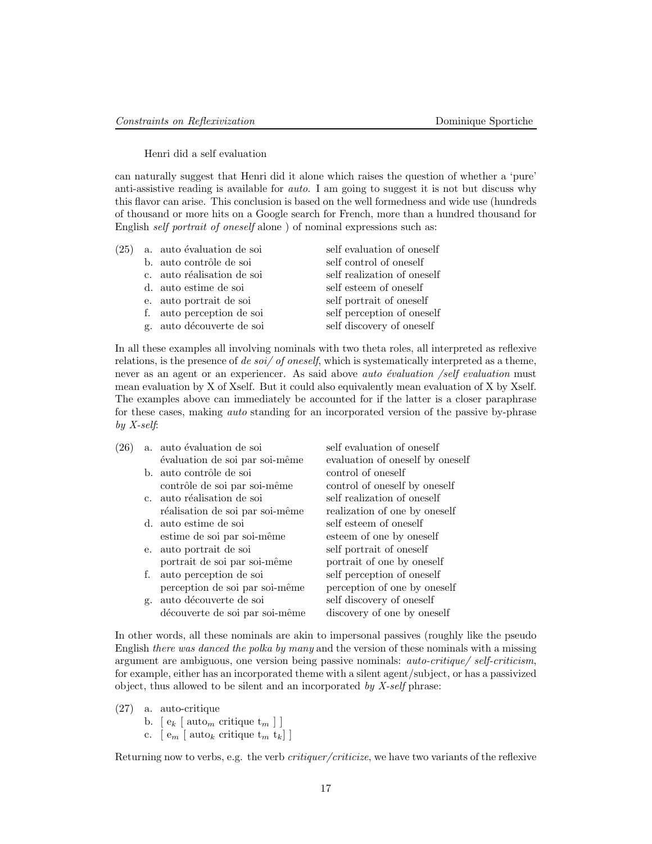#### Henri did a self evaluation

can naturally suggest that Henri did it alone which raises the question of whether a 'pure' anti-assistive reading is available for *auto*. I am going to suggest it is not but discuss why this flavor can arise. This conclusion is based on the well formedness and wide use (hundreds of thousand or more hits on a Google search for French, more than a hundred thousand for English self portrait of oneself alone ) of nominal expressions such as:

| (25) | a. auto évaluation de soi  | self evaluation of oneself  |
|------|----------------------------|-----------------------------|
|      | b. auto contrôle de soi    | self control of oneself     |
|      | c. auto réalisation de soi | self realization of oneself |
|      | d. auto estime de soi      | self esteem of oneself      |
|      | e. auto portrait de soi    | self portrait of oneself    |
|      | f. auto perception de soi  | self perception of oneself  |
|      | g. auto découverte de soi  | self discovery of oneself   |

In all these examples all involving nominals with two theta roles, all interpreted as reflexive relations, is the presence of de soi/ of oneself, which is systematically interpreted as a theme, never as an agent or an experiencer. As said above *auto évaluation /self evaluation* must mean evaluation by X of Xself. But it could also equivalently mean evaluation of X by Xself. The examples above can immediately be accounted for if the latter is a closer paraphrase for these cases, making *auto* standing for an incorporated version of the passive by-phrase by  $X$ -self:

 $(26)$  a. auto évaluation de soi self evaluation of oneself  $évaluation de soi par soi-même$  evaluation of oneself by oneself b. auto contrôle de soi control of oneself contrôle de soi par soi-même control of oneself by oneself c. auto réalisation de soi self realization of oneself réalisation de soi par soi-même realization of one by oneself d. auto estime de soi self esteem of oneself estime de soi par soi-même esteem of one by oneself e. auto portrait de soi self portrait of oneself portrait de soi par soi-même portrait of one by oneself f. auto perception de soi self perception of oneself perception de soi par soi-même perception of one by oneself g. auto d´ecouverte de soi self discovery of oneself découverte de soi par soi-même discovery of one by oneself

In other words, all these nominals are akin to impersonal passives (roughly like the pseudo English there was danced the polka by many and the version of these nominals with a missing argument are ambiguous, one version being passive nominals: auto-critique/ self-criticism, for example, either has an incorporated theme with a silent agent/subject, or has a passivized object, thus allowed to be silent and an incorporated by  $X\text{-}self$  phrase:

- (27) a. auto-critique
	- b. [  $\mathbf{e}_k$  [  $\mathrm{auto}_m$  critique  $\mathbf{t}_m$  ] ]
	- c.  $\left[ e_m \right]$  auto<sub>k</sub> critique  $t_m$   $t_k$ ]

Returning now to verbs, e.g. the verb critiquer/criticize, we have two variants of the reflexive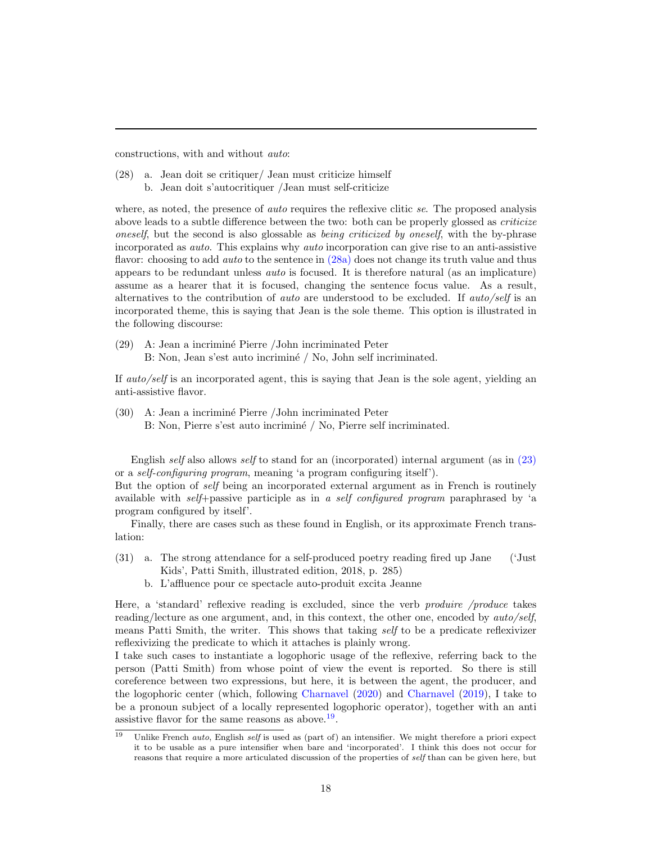constructions, with and without auto:

<span id="page-17-0"></span>(28) a. Jean doit se critiquer/ Jean must criticize himself b. Jean doit s'autocritiquer /Jean must self-criticize

where, as noted, the presence of *auto* requires the reflexive clitic se. The proposed analysis above leads to a subtle difference between the two: both can be properly glossed as *criticize* oneself, but the second is also glossable as *being criticized by oneself*, with the by-phrase incorporated as auto. This explains why auto incorporation can give rise to an anti-assistive flavor: choosing to add *auto* to the sentence in [\(28a\)](#page-17-0) does not change its truth value and thus appears to be redundant unless auto is focused. It is therefore natural (as an implicature) assume as a hearer that it is focused, changing the sentence focus value. As a result, alternatives to the contribution of *auto* are understood to be excluded. If *auto/self* is an incorporated theme, this is saying that Jean is the sole theme. This option is illustrated in the following discourse:

(29) A: Jean a incrimin´e Pierre /John incriminated Peter B: Non, Jean s'est auto incriminé / No, John self incriminated.

If auto/self is an incorporated agent, this is saying that Jean is the sole agent, yielding an anti-assistive flavor.

(30) A: Jean a incrimin´e Pierre /John incriminated Peter B: Non, Pierre s'est auto incriminé / No, Pierre self incriminated.

English self also allows self to stand for an (incorporated) internal argument (as in  $(23)$ or a self-configuring program, meaning 'a program configuring itself').

But the option of self being an incorporated external argument as in French is routinely available with self+passive participle as in a self configured program paraphrased by 'a program configured by itself'.

Finally, there are cases such as these found in English, or its approximate French translation:

- (31) a. The strong attendance for a self-produced poetry reading fired up Jane ('Just Kids', Patti Smith, illustrated edition, 2018, p. 285)
	- b. L'affluence pour ce spectacle auto-produit excita Jeanne

Here, a 'standard' reflexive reading is excluded, since the verb *produire /produce* takes reading/lecture as one argument, and, in this context, the other one, encoded by auto/self, means Patti Smith, the writer. This shows that taking self to be a predicate reflexivizer reflexivizing the predicate to which it attaches is plainly wrong.

I take such cases to instantiate a logophoric usage of the reflexive, referring back to the person (Patti Smith) from whose point of view the event is reported. So there is still coreference between two expressions, but here, it is between the agent, the producer, and the logophoric center (which, following [Charnavel](#page-23-14) [\(2020\)](#page-23-14) and [Charnavel](#page-23-15) [\(2019\)](#page-23-15), I take to be a pronoun subject of a locally represented logophoric operator), together with an anti assistive flavor for the same reasons as above.<sup>[19](#page-17-1)</sup>.

<span id="page-17-1"></span><sup>&</sup>lt;sup>19</sup> Unlike French *auto*, English self is used as (part of) an intensifier. We might therefore a priori expect it to be usable as a pure intensifier when bare and 'incorporated'. I think this does not occur for reasons that require a more articulated discussion of the properties of self than can be given here, but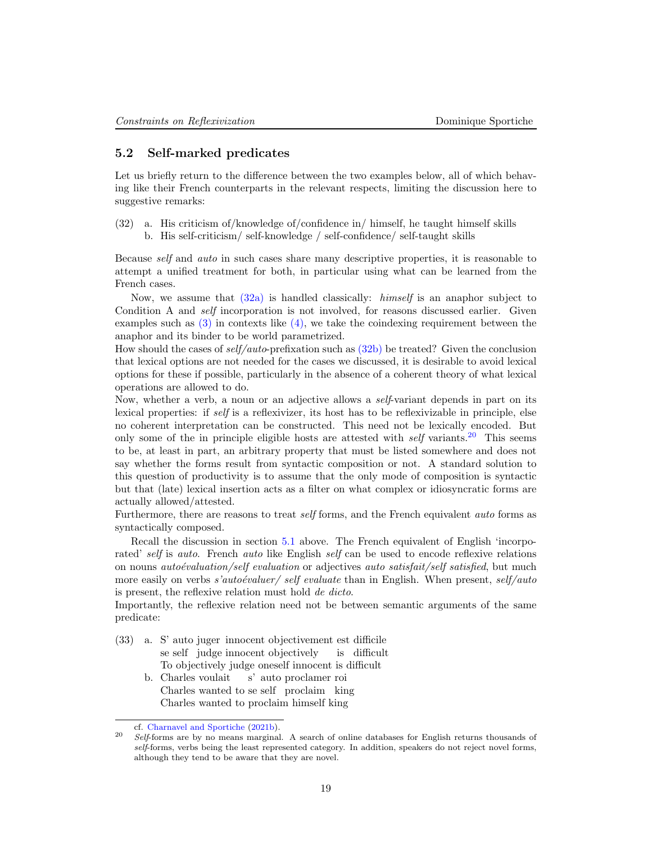### <span id="page-18-0"></span>5.2 Self-marked predicates

Let us briefly return to the difference between the two examples below, all of which behaving like their French counterparts in the relevant respects, limiting the discussion here to suggestive remarks:

<span id="page-18-2"></span><span id="page-18-1"></span>(32) a. His criticism of/knowledge of/confidence in/ himself, he taught himself skills b. His self-criticism/ self-knowledge / self-confidence/ self-taught skills

Because self and auto in such cases share many descriptive properties, it is reasonable to attempt a unified treatment for both, in particular using what can be learned from the French cases.

Now, we assume that  $(32a)$  is handled classically: *himself* is an anaphor subject to Condition A and *self* incorporation is not involved, for reasons discussed earlier. Given examples such as  $(3)$  in contexts like  $(4)$ , we take the coindexing requirement between the anaphor and its binder to be world parametrized.

How should the cases of self/auto-prefixation such as [\(32b\)](#page-18-2) be treated? Given the conclusion that lexical options are not needed for the cases we discussed, it is desirable to avoid lexical options for these if possible, particularly in the absence of a coherent theory of what lexical operations are allowed to do.

Now, whether a verb, a noun or an adjective allows a *self*-variant depends in part on its lexical properties: if self is a reflexivizer, its host has to be reflexivizable in principle, else no coherent interpretation can be constructed. This need not be lexically encoded. But only some of the in principle eligible hosts are attested with  $self$  variants.<sup>[20](#page-18-3)</sup> This seems to be, at least in part, an arbitrary property that must be listed somewhere and does not say whether the forms result from syntactic composition or not. A standard solution to this question of productivity is to assume that the only mode of composition is syntactic but that (late) lexical insertion acts as a filter on what complex or idiosyncratic forms are actually allowed/attested.

Furthermore, there are reasons to treat *self* forms, and the French equivalent *auto* forms as syntactically composed.

Recall the discussion in section [5.1](#page-15-1) above. The French equivalent of English 'incorporated' self is auto. French auto like English self can be used to encode reflexive relations on nouns *autoévaluation/self evaluation* or adjectives *auto satisfait/self satisfied*, but much more easily on verbs s'autoévaluer/ self evaluate than in English. When present, self/auto is present, the reflexive relation must hold de dicto.

Importantly, the reflexive relation need not be between semantic arguments of the same predicate:

- <span id="page-18-4"></span>(33) a. S' auto juger innocent objectivement est difficile se self judge innocent objectively is difficult To objectively judge oneself innocent is difficult
	- b. Charles voulait Charles wanted to se self proclaim king s' auto proclamer roi Charles wanted to proclaim himself king

cf. [Charnavel and Sportiche](#page-23-10) [\(2021b\)](#page-23-10).

<span id="page-18-3"></span><sup>&</sup>lt;sup>20</sup> Self-forms are by no means marginal. A search of online databases for English returns thousands of self-forms, verbs being the least represented category. In addition, speakers do not reject novel forms, although they tend to be aware that they are novel.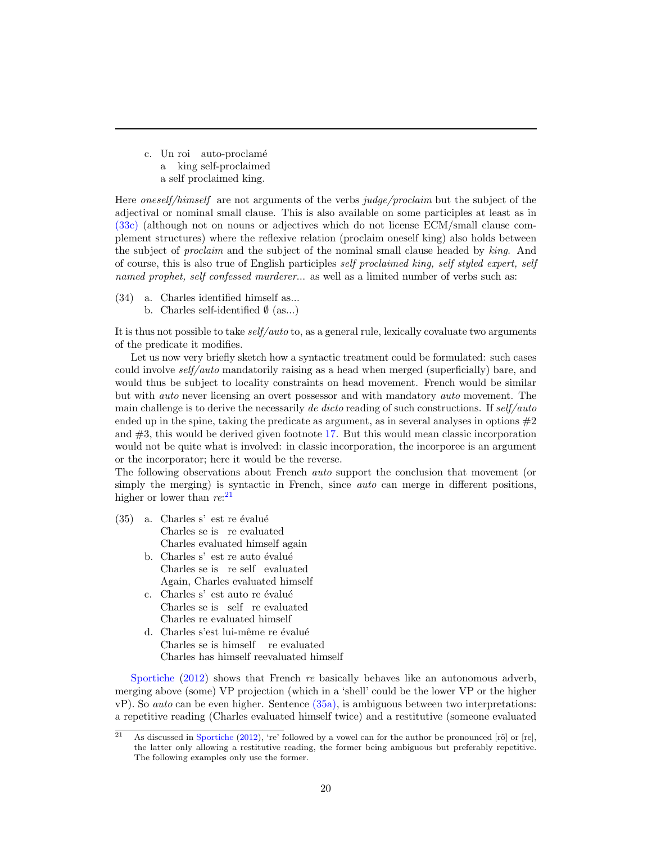<span id="page-19-0"></span>c. Un roi auto-proclamé a king self-proclaimed a self proclaimed king.

Here *oneself/himself* are not arguments of the verbs judge/proclaim but the subject of the adjectival or nominal small clause. This is also available on some participles at least as in [\(33c\)](#page-19-0) (although not on nouns or adjectives which do not license ECM/small clause complement structures) where the reflexive relation (proclaim oneself king) also holds between the subject of *proclaim* and the subject of the nominal small clause headed by king. And of course, this is also true of English participles self proclaimed king, self styled expert, self named prophet, self confessed murderer... as well as a limited number of verbs such as:

(34) a. Charles identified himself as... b. Charles self-identified  $\emptyset$  (as...)

It is thus not possible to take  $self/auto$  to, as a general rule, lexically covaluate two arguments of the predicate it modifies.

Let us now very briefly sketch how a syntactic treatment could be formulated: such cases could involve self/auto mandatorily raising as a head when merged (superficially) bare, and would thus be subject to locality constraints on head movement. French would be similar but with auto never licensing an overt possessor and with mandatory auto movement. The main challenge is to derive the necessarily de dicto reading of such constructions. If  $self/auto$ ended up in the spine, taking the predicate as argument, as in several analyses in options  $#2$ and  $#3$ , this would be derived given footnote [17.](#page-13-2) But this would mean classic incorporation would not be quite what is involved: in classic incorporation, the incorporee is an argument or the incorporator; here it would be the reverse.

The following observations about French auto support the conclusion that movement (or simply the merging) is syntactic in French, since *auto* can merge in different positions, higher or lower than  $re:^{21}$  $re:^{21}$  $re:^{21}$ 

- <span id="page-19-4"></span><span id="page-19-3"></span><span id="page-19-2"></span> $(35)$  a. Charles s' est re évalué Charles se is re evaluated Charles evaluated himself again
	- b. Charles s' est re auto évalué Charles se is re self evaluated Again, Charles evaluated himself
	- c. Charles s' est auto re évalué Charles se is self re evaluated Charles re evaluated himself
	- d. Charles s'est lui-même re évalué Charles se is himself re evaluated Charles has himself reevaluated himself

<span id="page-19-5"></span>[Sportiche](#page-24-18) [\(2012\)](#page-24-18) shows that French re basically behaves like an autonomous adverb, merging above (some) VP projection (which in a 'shell' could be the lower VP or the higher  $vP$ ). So *auto* can be even higher. Sentence  $(35a)$ , is ambiguous between two interpretations: a repetitive reading (Charles evaluated himself twice) and a restitutive (someone evaluated

<span id="page-19-1"></span><sup>&</sup>lt;sup>21</sup> As discussed in [Sportiche](#page-24-18) [\(2012\)](#page-24-18), 're' followed by a vowel can for the author be pronounced [rö] or [re], the latter only allowing a restitutive reading, the former being ambiguous but preferably repetitive. The following examples only use the former.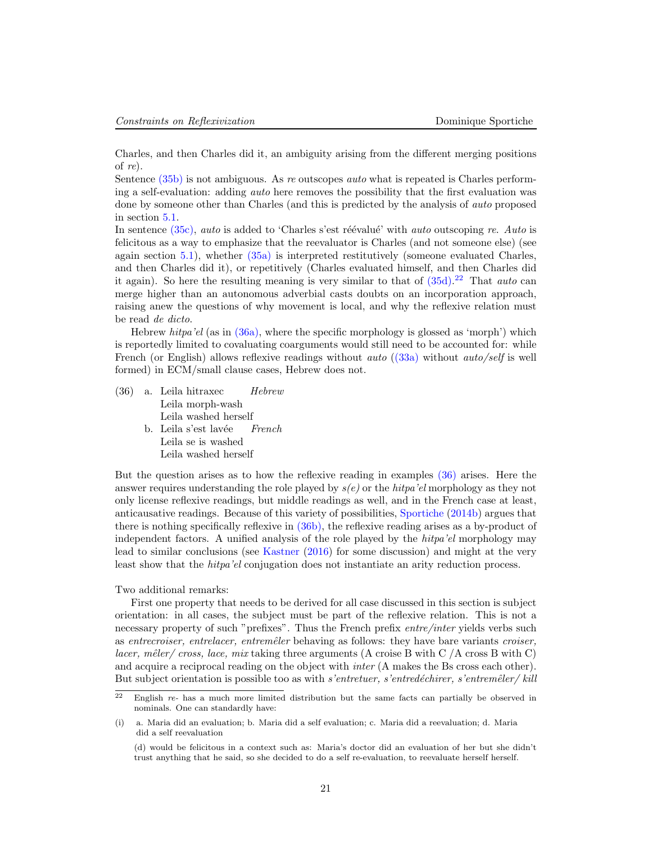Charles, and then Charles did it, an ambiguity arising from the different merging positions of re).

Sentence  $(35b)$  is not ambiguous. As re outscopes *auto* what is repeated is Charles performing a self-evaluation: adding auto here removes the possibility that the first evaluation was done by someone other than Charles (and this is predicted by the analysis of auto proposed in section [5.1.](#page-15-1)

In sentence  $(35c)$ , auto is added to 'Charles s'est réévalué' with auto outscoping re. Auto is felicitous as a way to emphasize that the reevaluator is Charles (and not someone else) (see again section [5.1\)](#page-15-1), whether [\(35a\)](#page-19-2) is interpreted restitutively (someone evaluated Charles, and then Charles did it), or repetitively (Charles evaluated himself, and then Charles did it again). So here the resulting meaning is very similar to that of  $(35d)$ .<sup>[22](#page-20-0)</sup> That *auto* can merge higher than an autonomous adverbial casts doubts on an incorporation approach, raising anew the questions of why movement is local, and why the reflexive relation must be read de dicto.

Hebrew *hitpa'el* (as in  $(36a)$ , where the specific morphology is glossed as 'morph') which is reportedly limited to covaluating coarguments would still need to be accounted for: while French (or English) allows reflexive readings without *auto*  $((33a)$  without *auto/self* is well formed) in ECM/small clause cases, Hebrew does not.

<span id="page-20-3"></span><span id="page-20-2"></span><span id="page-20-1"></span>(36) a. Leila hitraxec Leila morph-wash Hebrew Leila washed herself b. Leila s'est lavée Leila se is washed French Leila washed herself

But the question arises as to how the reflexive reading in examples [\(36\)](#page-20-2) arises. Here the answer requires understanding the role played by  $s(e)$  or the hitpa'el morphology as they not only license reflexive readings, but middle readings as well, and in the French case at least, anticausative readings. Because of this variety of possibilities, [Sportiche](#page-25-3) [\(2014b\)](#page-25-3) argues that there is nothing specifically reflexive in [\(36b\),](#page-20-3) the reflexive reading arises as a by-product of independent factors. A unified analysis of the role played by the hitpa'el morphology may lead to similar conclusions (see [Kastner](#page-23-16) [\(2016\)](#page-23-16) for some discussion) and might at the very least show that the hitpa'el conjugation does not instantiate an arity reduction process.

Two additional remarks:

First one property that needs to be derived for all case discussed in this section is subject orientation: in all cases, the subject must be part of the reflexive relation. This is not a necessary property of such "prefixes". Thus the French prefix *entre/inter yields* verbs such as entrecroiser, entrelacer, entremêter behaving as follows: they have bare variants croiser, *lacer, mêler/ cross, lace, mix* taking three arguments (A croise B with C  $/$  A cross B with C) and acquire a reciprocal reading on the object with *inter* (A makes the Bs cross each other). But subject orientation is possible too as with s'entretuer, s'entredéchirer, s'entremêler/ kill

<span id="page-20-0"></span> $\frac{22}{2}$  English re- has a much more limited distribution but the same facts can partially be observed in nominals. One can standardly have:

<sup>(</sup>i) a. Maria did an evaluation; b. Maria did a self evaluation; c. Maria did a reevaluation; d. Maria did a self reevaluation

<sup>(</sup>d) would be felicitous in a context such as: Maria's doctor did an evaluation of her but she didn't trust anything that he said, so she decided to do a self re-evaluation, to reevaluate herself herself.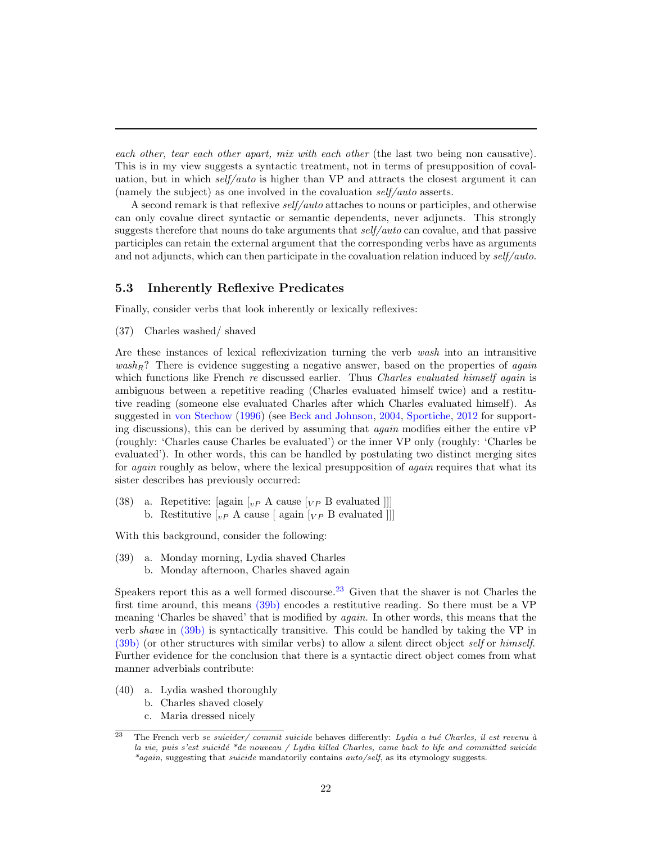each other, tear each other apart, mix with each other (the last two being non causative). This is in my view suggests a syntactic treatment, not in terms of presupposition of covaluation, but in which self/auto is higher than  $VP$  and attracts the closest argument it can (namely the subject) as one involved in the covaluation self/auto asserts.

A second remark is that reflexive self/auto attaches to nouns or participles, and otherwise can only covalue direct syntactic or semantic dependents, never adjuncts. This strongly suggests therefore that nouns do take arguments that self/auto can covalue, and that passive participles can retain the external argument that the corresponding verbs have as arguments and not adjuncts, which can then participate in the covaluation relation induced by  $self/auto$ .

# <span id="page-21-0"></span>5.3 Inherently Reflexive Predicates

Finally, consider verbs that look inherently or lexically reflexives:

(37) Charles washed/ shaved

Are these instances of lexical reflexivization turning the verb wash into an intransitive  $wash_R$ ? There is evidence suggesting a negative answer, based on the properties of *again* which functions like French re discussed earlier. Thus *Charles evaluated himself again* is ambiguous between a repetitive reading (Charles evaluated himself twice) and a restitutive reading (someone else evaluated Charles after which Charles evaluated himself). As suggested in [von Stechow](#page-25-4) [\(1996\)](#page-25-4) (see [Beck and Johnson,](#page-22-5) [2004,](#page-22-5) [Sportiche,](#page-24-18) [2012](#page-24-18) for supporting discussions), this can be derived by assuming that *again* modifies either the entire  $vP$ (roughly: 'Charles cause Charles be evaluated') or the inner VP only (roughly: 'Charles be evaluated'). In other words, this can be handled by postulating two distinct merging sites for *again* roughly as below, where the lexical presupposition of *again* requires that what its sister describes has previously occurred:

(38) a. Repetitive: [again  $\left[{}_{vP}$  A cause  $\left[{}_{VP}$  B evaluated  $\right]$ ]] b. Restitutive  $\lbrack_{vP}$  A cause  $\lbrack$  again  $\lbrack_{VP}$  B evaluated  $\lbrack$ 

With this background, consider the following:

- <span id="page-21-2"></span>(39) a. Monday morning, Lydia shaved Charles
	- b. Monday afternoon, Charles shaved again

Speakers report this as a well formed discourse.<sup>[23](#page-21-1)</sup> Given that the shaver is not Charles the first time around, this means [\(39b\)](#page-21-2) encodes a restitutive reading. So there must be a VP meaning 'Charles be shaved' that is modified by *again*. In other words, this means that the verb shave in [\(39b\)](#page-21-2) is syntactically transitive. This could be handled by taking the VP in [\(39b\)](#page-21-2) (or other structures with similar verbs) to allow a silent direct object self or himself. Further evidence for the conclusion that there is a syntactic direct object comes from what manner adverbials contribute:

- (40) a. Lydia washed thoroughly
	- b. Charles shaved closely
	- c. Maria dressed nicely

<span id="page-21-1"></span><sup>&</sup>lt;sup>23</sup> The French verb se suicider/ commit suicide behaves differently: Lydia a tué Charles, il est revenu à la vie, puis s'est suicidé \*de nouveau / Lydia killed Charles, came back to life and committed suicide \*again, suggesting that suicide mandatorily contains auto/self, as its etymology suggests.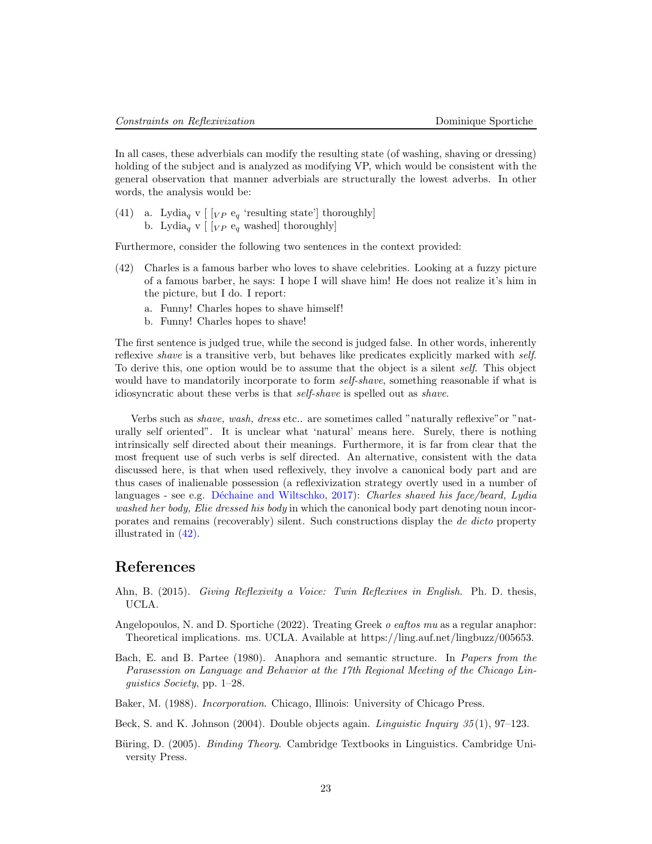In all cases, these adverbials can modify the resulting state (of washing, shaving or dressing) holding of the subject and is analyzed as modifying VP, which would be consistent with the general observation that manner adverbials are structurally the lowest adverbs. In other words, the analysis would be:

(41) a. Lydia<sub>q</sub> v [ $[VP \t e_q$  'resulting state'] thoroughly] b. Lydia<sub>q</sub> v  $[\gamma]$  [ $\gamma$  e<sub>q</sub> washed] thoroughly]

<span id="page-22-6"></span>Furthermore, consider the following two sentences in the context provided:

- (42) Charles is a famous barber who loves to shave celebrities. Looking at a fuzzy picture of a famous barber, he says: I hope I will shave him! He does not realize it's him in the picture, but I do. I report:
	- a. Funny! Charles hopes to shave himself!
	- b. Funny! Charles hopes to shave!

The first sentence is judged true, while the second is judged false. In other words, inherently reflexive shave is a transitive verb, but behaves like predicates explicitly marked with self. To derive this, one option would be to assume that the object is a silent self. This object would have to mandatorily incorporate to form *self-shave*, something reasonable if what is idiosyncratic about these verbs is that self-shave is spelled out as shave.

Verbs such as shave, wash, dress etc.. are sometimes called "naturally reflexive"or "naturally self oriented". It is unclear what 'natural' means here. Surely, there is nothing intrinsically self directed about their meanings. Furthermore, it is far from clear that the most frequent use of such verbs is self directed. An alternative, consistent with the data discussed here, is that when used reflexively, they involve a canonical body part and are thus cases of inalienable possession (a reflexivization strategy overtly used in a number of languages - see e.g. Déchaine and Wiltschko, [2017\)](#page-23-0): Charles shaved his face/beard, Lydia washed her body, Elie dressed his body in which the canonical body part denoting noun incorporates and remains (recoverably) silent. Such constructions display the de dicto property illustrated in [\(42\).](#page-22-6)

# References

- <span id="page-22-1"></span>Ahn, B. (2015). Giving Reflexivity a Voice: Twin Reflexives in English. Ph. D. thesis, UCLA.
- <span id="page-22-4"></span>Angelopoulos, N. and D. Sportiche (2022). Treating Greek o eaftos mu as a regular anaphor: Theoretical implications. ms. UCLA. Available at https://ling.auf.net/lingbuzz/005653.
- <span id="page-22-0"></span>Bach, E. and B. Partee (1980). Anaphora and semantic structure. In Papers from the Parasession on Language and Behavior at the 17th Regional Meeting of the Chicago Linguistics Society, pp. 1–28.
- <span id="page-22-3"></span>Baker, M. (1988). Incorporation. Chicago, Illinois: University of Chicago Press.

<span id="page-22-5"></span>Beck, S. and K. Johnson (2004). Double objects again. *Linguistic Inquiry 35* (1), 97–123.

<span id="page-22-2"></span>Büring, D. (2005). *Binding Theory.* Cambridge Textbooks in Linguistics. Cambridge University Press.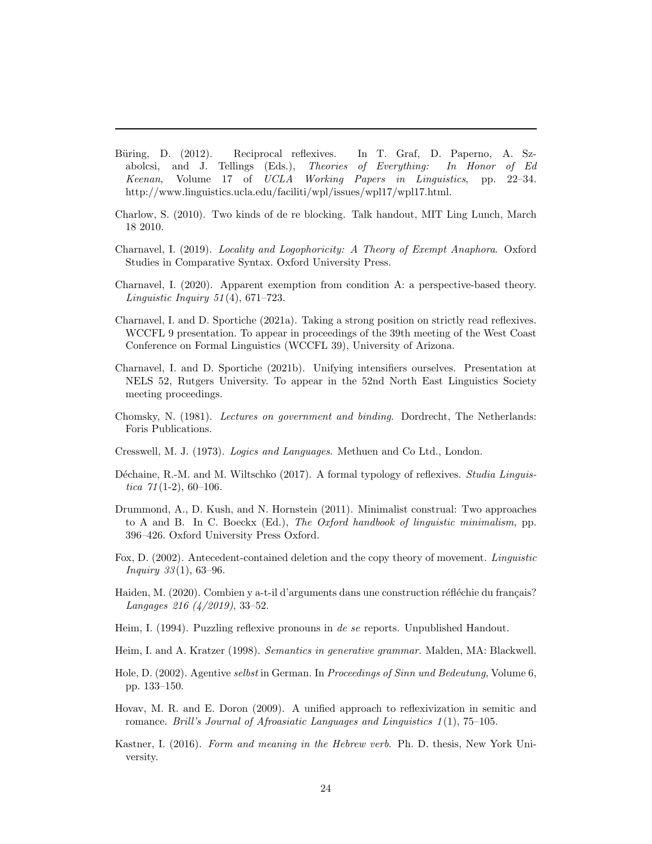- <span id="page-23-12"></span>Büring, D. (2012). Reciprocal reflexives. In T. Graf, D. Paperno, A. Szabolcsi, and J. Tellings (Eds.), Theories of Everything: In Honor of Ed Keenan, Volume 17 of UCLA Working Papers in Linguistics, pp. 22–34. http://www.linguistics.ucla.edu/faciliti/wpl/issues/wpl17/wpl17.html.
- <span id="page-23-8"></span>Charlow, S. (2010). Two kinds of de re blocking. Talk handout, MIT Ling Lunch, March 18 2010.
- <span id="page-23-15"></span>Charnavel, I. (2019). Locality and Logophoricity: A Theory of Exempt Anaphora. Oxford Studies in Comparative Syntax. Oxford University Press.
- <span id="page-23-14"></span>Charnavel, I. (2020). Apparent exemption from condition A: a perspective-based theory. Linguistic Inquiry  $51(4)$ ,  $671-723$ .
- <span id="page-23-9"></span>Charnavel, I. and D. Sportiche (2021a). Taking a strong position on strictly read reflexives. WCCFL 9 presentation. To appear in proceedings of the 39th meeting of the West Coast Conference on Formal Linguistics (WCCFL 39), University of Arizona.
- <span id="page-23-10"></span>Charnavel, I. and D. Sportiche (2021b). Unifying intensifiers ourselves. Presentation at NELS 52, Rutgers University. To appear in the 52nd North East Linguistics Society meeting proceedings.
- <span id="page-23-2"></span>Chomsky, N. (1981). Lectures on government and binding. Dordrecht, The Netherlands: Foris Publications.
- <span id="page-23-1"></span>Cresswell, M. J. (1973). Logics and Languages. Methuen and Co Ltd., London.
- <span id="page-23-0"></span>Déchaine, R.-M. and M. Wiltschko (2017). A formal typology of reflexives. *Studia Linguis*tica  $71(1-2)$ , 60-106.
- <span id="page-23-4"></span>Drummond, A., D. Kush, and N. Hornstein (2011). Minimalist construal: Two approaches to A and B. In C. Boeckx (Ed.), The Oxford handbook of linguistic minimalism, pp. 396–426. Oxford University Press Oxford.
- <span id="page-23-11"></span>Fox, D. (2002). Antecedent-contained deletion and the copy theory of movement. Linguistic *Inquiry*  $33(1)$ , 63–96.
- <span id="page-23-7"></span>Haiden, M. (2020). Combien y a-t-il d'arguments dans une construction réfléchie du français? Langages 216 (4/2019), 33–52.
- <span id="page-23-6"></span>Heim, I. (1994). Puzzling reflexive pronouns in de se reports. Unpublished Handout.
- <span id="page-23-3"></span>Heim, I. and A. Kratzer (1998). Semantics in generative grammar. Malden, MA: Blackwell.
- <span id="page-23-13"></span>Hole, D. (2002). Agentive selbst in German. In Proceedings of Sinn und Bedeutung, Volume 6, pp. 133–150.
- <span id="page-23-5"></span>Hovav, M. R. and E. Doron (2009). A unified approach to reflexivization in semitic and romance. Brill's Journal of Afroasiatic Languages and Linguistics  $1(1)$ , 75–105.
- <span id="page-23-16"></span>Kastner, I. (2016). Form and meaning in the Hebrew verb. Ph. D. thesis, New York University.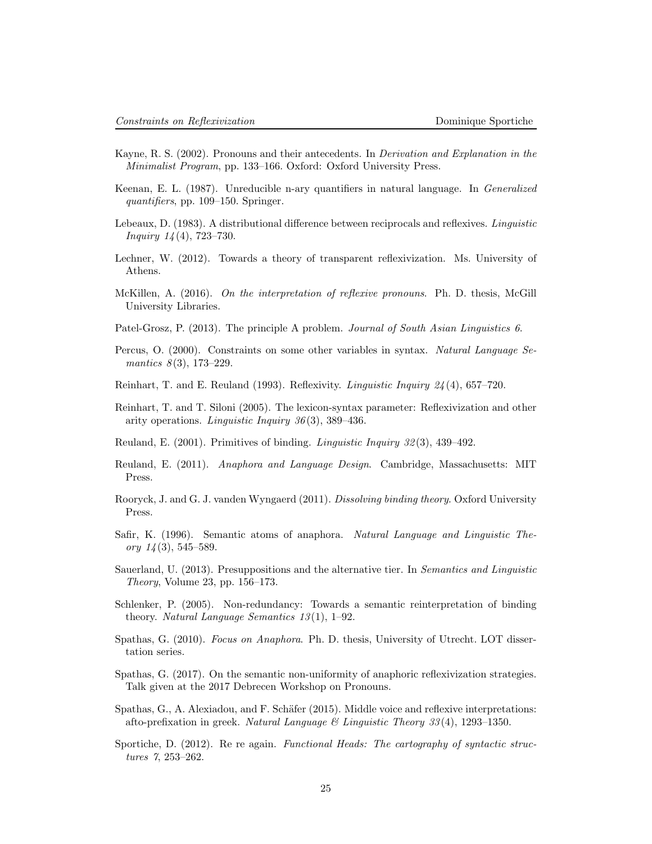- <span id="page-24-11"></span>Kayne, R. S. (2002). Pronouns and their antecedents. In Derivation and Explanation in the Minimalist Program, pp. 133–166. Oxford: Oxford University Press.
- <span id="page-24-2"></span>Keenan, E. L. (1987). Unreducible n-ary quantifiers in natural language. In Generalized quantifiers, pp. 109–150. Springer.
- <span id="page-24-10"></span>Lebeaux, D. (1983). A distributional difference between reciprocals and reflexives. Linguistic *Inquiry*  $14(4)$ , 723–730.
- <span id="page-24-5"></span>Lechner, W. (2012). Towards a theory of transparent reflexivization. Ms. University of Athens.
- <span id="page-24-9"></span>McKillen, A. (2016). On the interpretation of reflexive pronouns. Ph. D. thesis, McGill University Libraries.
- <span id="page-24-7"></span>Patel-Grosz, P. (2013). The principle A problem. Journal of South Asian Linguistics 6.
- <span id="page-24-17"></span>Percus, O. (2000). Constraints on some other variables in syntax. Natural Language Semantics  $8(3)$ , 173-229.
- <span id="page-24-0"></span>Reinhart, T. and E. Reuland (1993). Reflexivity. Linguistic Inquiry 24 (4), 657–720.
- <span id="page-24-1"></span>Reinhart, T. and T. Siloni (2005). The lexicon-syntax parameter: Reflexivization and other arity operations. Linguistic Inquiry 36 (3), 389–436.
- <span id="page-24-6"></span>Reuland, E. (2001). Primitives of binding. Linguistic Inquiry 32 (3), 439–492.
- <span id="page-24-14"></span>Reuland, E. (2011). Anaphora and Language Design. Cambridge, Massachusetts: MIT Press.
- <span id="page-24-12"></span>Rooryck, J. and G. J. vanden Wyngaerd (2011). Dissolving binding theory. Oxford University Press.
- <span id="page-24-16"></span>Safir, K. (1996). Semantic atoms of anaphora. Natural Language and Linguistic Theory  $14(3)$ , 545–589.
- <span id="page-24-8"></span>Sauerland, U. (2013). Presuppositions and the alternative tier. In Semantics and Linguistic Theory, Volume 23, pp. 156–173.
- <span id="page-24-3"></span>Schlenker, P. (2005). Non-redundancy: Towards a semantic reinterpretation of binding theory. Natural Language Semantics  $13(1)$ , 1–92.
- <span id="page-24-4"></span>Spathas, G. (2010). Focus on Anaphora. Ph. D. thesis, University of Utrecht. LOT dissertation series.
- <span id="page-24-15"></span>Spathas, G. (2017). On the semantic non-uniformity of anaphoric reflexivization strategies. Talk given at the 2017 Debrecen Workshop on Pronouns.
- <span id="page-24-13"></span>Spathas, G., A. Alexiadou, and F. Schäfer (2015). Middle voice and reflexive interpretations: afto-prefixation in greek. Natural Language  $\mathcal C$  Linguistic Theory 33(4), 1293–1350.
- <span id="page-24-18"></span>Sportiche, D. (2012). Re re again. Functional Heads: The cartography of syntactic structures 7, 253–262.